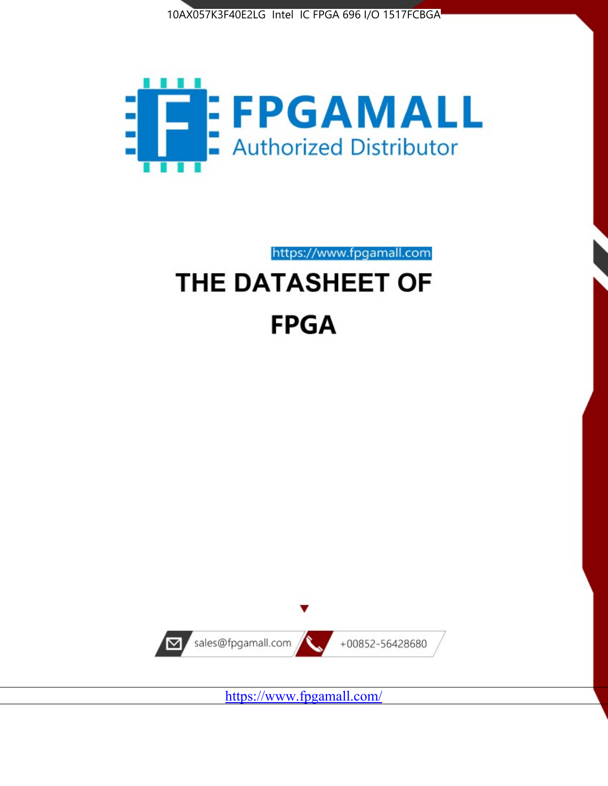



https://www.fpgamall.com

# THE DATASHEET OF **FPGA**



<https://www.fpgamall.com/>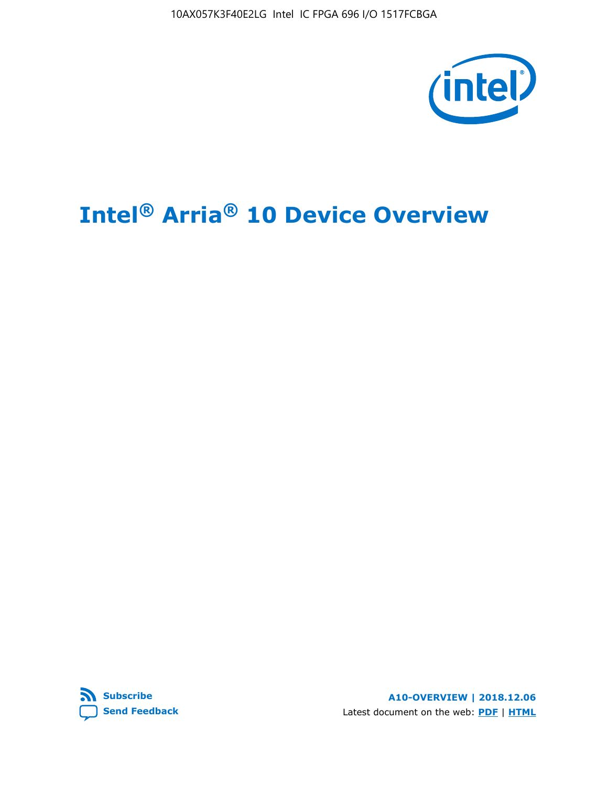10AX057K3F40E2LG Intel IC FPGA 696 I/O 1517FCBGA



# **Intel® Arria® 10 Device Overview**



**A10-OVERVIEW | 2018.12.06** Latest document on the web: **[PDF](https://www.intel.com/content/dam/www/programmable/us/en/pdfs/literature/hb/arria-10/a10_overview.pdf)** | **[HTML](https://www.intel.com/content/www/us/en/programmable/documentation/sam1403480274650.html)**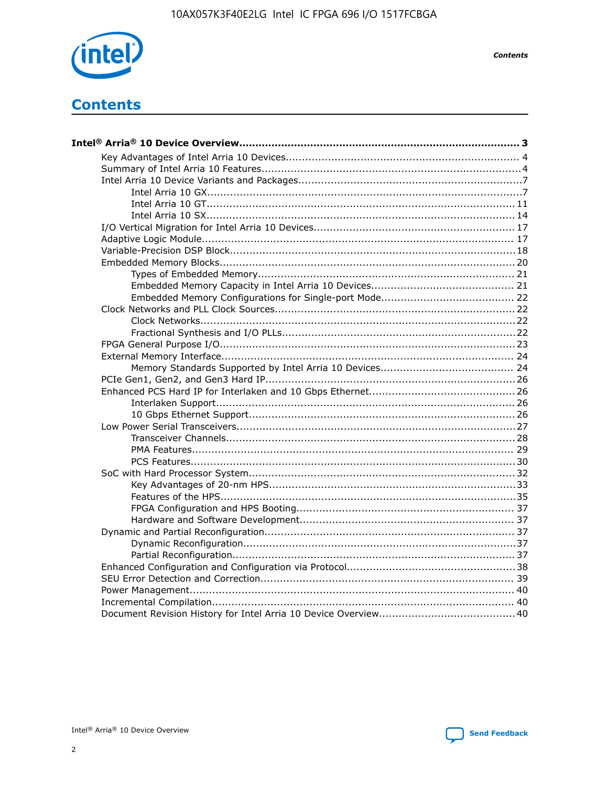

**Contents** 

# **Contents**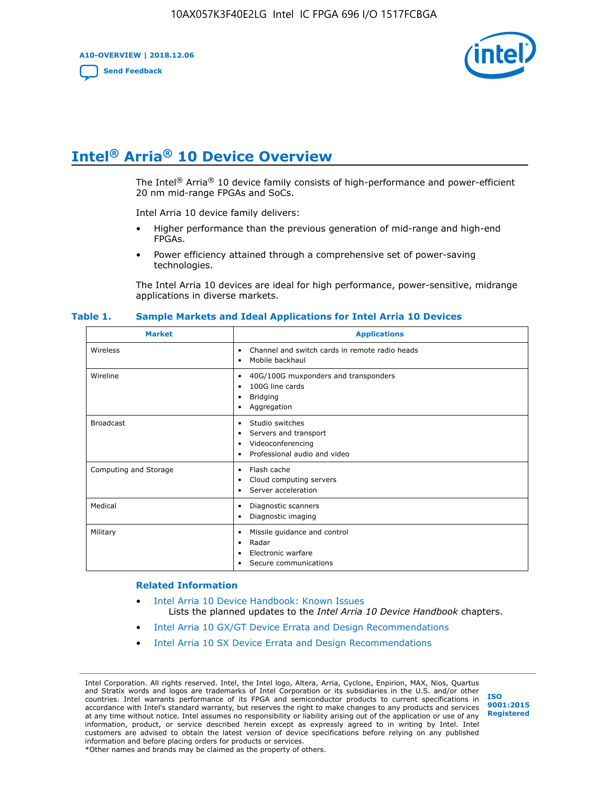**A10-OVERVIEW | 2018.12.06**

**[Send Feedback](mailto:FPGAtechdocfeedback@intel.com?subject=Feedback%20on%20Intel%20Arria%2010%20Device%20Overview%20(A10-OVERVIEW%202018.12.06)&body=We%20appreciate%20your%20feedback.%20In%20your%20comments,%20also%20specify%20the%20page%20number%20or%20paragraph.%20Thank%20you.)**



# **Intel® Arria® 10 Device Overview**

The Intel<sup>®</sup> Arria<sup>®</sup> 10 device family consists of high-performance and power-efficient 20 nm mid-range FPGAs and SoCs.

Intel Arria 10 device family delivers:

- Higher performance than the previous generation of mid-range and high-end FPGAs.
- Power efficiency attained through a comprehensive set of power-saving technologies.

The Intel Arria 10 devices are ideal for high performance, power-sensitive, midrange applications in diverse markets.

| <b>Market</b>         | <b>Applications</b>                                                                                               |
|-----------------------|-------------------------------------------------------------------------------------------------------------------|
| Wireless              | Channel and switch cards in remote radio heads<br>٠<br>Mobile backhaul<br>٠                                       |
| Wireline              | 40G/100G muxponders and transponders<br>٠<br>100G line cards<br>٠<br><b>Bridging</b><br>٠<br>Aggregation<br>٠     |
| <b>Broadcast</b>      | Studio switches<br>٠<br>Servers and transport<br>٠<br>Videoconferencing<br>٠<br>Professional audio and video<br>٠ |
| Computing and Storage | Flash cache<br>٠<br>Cloud computing servers<br>٠<br>Server acceleration<br>٠                                      |
| Medical               | Diagnostic scanners<br>٠<br>Diagnostic imaging<br>٠                                                               |
| Military              | Missile guidance and control<br>٠<br>Radar<br>٠<br>Electronic warfare<br>٠<br>Secure communications<br>٠          |

#### **Table 1. Sample Markets and Ideal Applications for Intel Arria 10 Devices**

#### **Related Information**

- [Intel Arria 10 Device Handbook: Known Issues](http://www.altera.com/support/kdb/solutions/rd07302013_646.html) Lists the planned updates to the *Intel Arria 10 Device Handbook* chapters.
- [Intel Arria 10 GX/GT Device Errata and Design Recommendations](https://www.intel.com/content/www/us/en/programmable/documentation/agz1493851706374.html#yqz1494433888646)
- [Intel Arria 10 SX Device Errata and Design Recommendations](https://www.intel.com/content/www/us/en/programmable/documentation/cru1462832385668.html#cru1462832558642)

Intel Corporation. All rights reserved. Intel, the Intel logo, Altera, Arria, Cyclone, Enpirion, MAX, Nios, Quartus and Stratix words and logos are trademarks of Intel Corporation or its subsidiaries in the U.S. and/or other countries. Intel warrants performance of its FPGA and semiconductor products to current specifications in accordance with Intel's standard warranty, but reserves the right to make changes to any products and services at any time without notice. Intel assumes no responsibility or liability arising out of the application or use of any information, product, or service described herein except as expressly agreed to in writing by Intel. Intel customers are advised to obtain the latest version of device specifications before relying on any published information and before placing orders for products or services. \*Other names and brands may be claimed as the property of others.

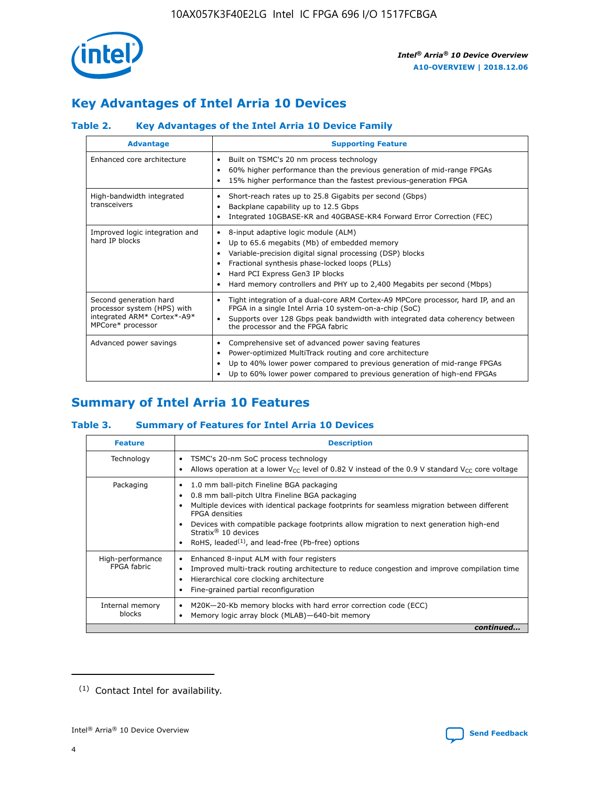

# **Key Advantages of Intel Arria 10 Devices**

## **Table 2. Key Advantages of the Intel Arria 10 Device Family**

| <b>Advantage</b>                                                                                          | <b>Supporting Feature</b>                                                                                                                                                                                                                                                                                                |
|-----------------------------------------------------------------------------------------------------------|--------------------------------------------------------------------------------------------------------------------------------------------------------------------------------------------------------------------------------------------------------------------------------------------------------------------------|
| Enhanced core architecture                                                                                | Built on TSMC's 20 nm process technology<br>٠<br>60% higher performance than the previous generation of mid-range FPGAs<br>٠<br>15% higher performance than the fastest previous-generation FPGA<br>٠                                                                                                                    |
| High-bandwidth integrated<br>transceivers                                                                 | Short-reach rates up to 25.8 Gigabits per second (Gbps)<br>٠<br>Backplane capability up to 12.5 Gbps<br>٠<br>Integrated 10GBASE-KR and 40GBASE-KR4 Forward Error Correction (FEC)<br>٠                                                                                                                                   |
| Improved logic integration and<br>hard IP blocks                                                          | 8-input adaptive logic module (ALM)<br>٠<br>Up to 65.6 megabits (Mb) of embedded memory<br>٠<br>Variable-precision digital signal processing (DSP) blocks<br>Fractional synthesis phase-locked loops (PLLs)<br>Hard PCI Express Gen3 IP blocks<br>Hard memory controllers and PHY up to 2,400 Megabits per second (Mbps) |
| Second generation hard<br>processor system (HPS) with<br>integrated ARM* Cortex*-A9*<br>MPCore* processor | Tight integration of a dual-core ARM Cortex-A9 MPCore processor, hard IP, and an<br>٠<br>FPGA in a single Intel Arria 10 system-on-a-chip (SoC)<br>Supports over 128 Gbps peak bandwidth with integrated data coherency between<br>$\bullet$<br>the processor and the FPGA fabric                                        |
| Advanced power savings                                                                                    | Comprehensive set of advanced power saving features<br>٠<br>Power-optimized MultiTrack routing and core architecture<br>٠<br>Up to 40% lower power compared to previous generation of mid-range FPGAs<br>٠<br>Up to 60% lower power compared to previous generation of high-end FPGAs<br>٠                               |

# **Summary of Intel Arria 10 Features**

## **Table 3. Summary of Features for Intel Arria 10 Devices**

| <b>Feature</b>                  | <b>Description</b>                                                                                                                                                                                                                                                                                                                                                                                       |
|---------------------------------|----------------------------------------------------------------------------------------------------------------------------------------------------------------------------------------------------------------------------------------------------------------------------------------------------------------------------------------------------------------------------------------------------------|
| Technology                      | TSMC's 20-nm SoC process technology<br>٠<br>Allows operation at a lower $V_{\text{CC}}$ level of 0.82 V instead of the 0.9 V standard $V_{\text{CC}}$ core voltage                                                                                                                                                                                                                                       |
| Packaging                       | 1.0 mm ball-pitch Fineline BGA packaging<br>0.8 mm ball-pitch Ultra Fineline BGA packaging<br>Multiple devices with identical package footprints for seamless migration between different<br><b>FPGA</b> densities<br>Devices with compatible package footprints allow migration to next generation high-end<br>Stratix $\mathcal{R}$ 10 devices<br>RoHS, leaded $(1)$ , and lead-free (Pb-free) options |
| High-performance<br>FPGA fabric | Enhanced 8-input ALM with four registers<br>٠<br>Improved multi-track routing architecture to reduce congestion and improve compilation time<br>Hierarchical core clocking architecture<br>Fine-grained partial reconfiguration                                                                                                                                                                          |
| Internal memory<br>blocks       | M20K-20-Kb memory blocks with hard error correction code (ECC)<br>Memory logic array block (MLAB)-640-bit memory                                                                                                                                                                                                                                                                                         |
|                                 | continued                                                                                                                                                                                                                                                                                                                                                                                                |



<sup>(1)</sup> Contact Intel for availability.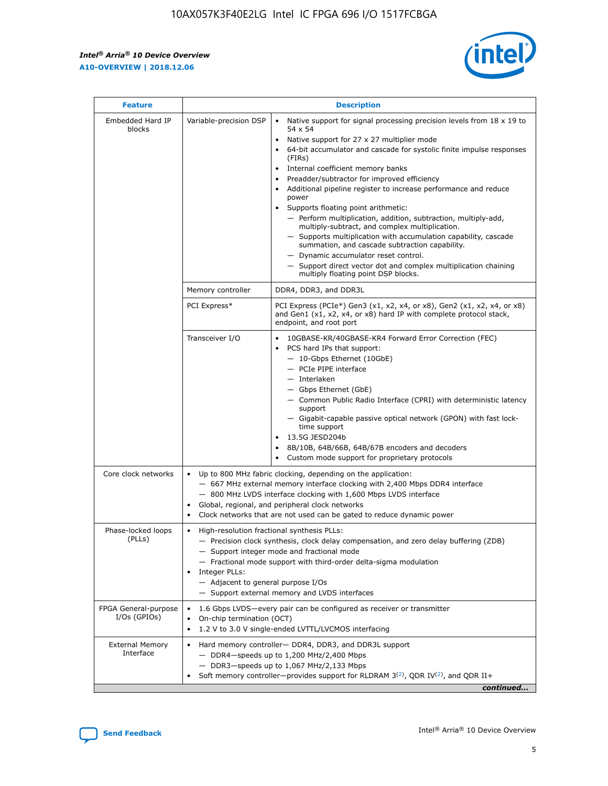r



| <b>Feature</b>                         | <b>Description</b>                                                                                             |                                                                                                                                                                                                                                                                                                                                                                                                                                                                                                                                                                                                                                                                                                                                                                                                                                                                  |  |  |  |  |  |  |
|----------------------------------------|----------------------------------------------------------------------------------------------------------------|------------------------------------------------------------------------------------------------------------------------------------------------------------------------------------------------------------------------------------------------------------------------------------------------------------------------------------------------------------------------------------------------------------------------------------------------------------------------------------------------------------------------------------------------------------------------------------------------------------------------------------------------------------------------------------------------------------------------------------------------------------------------------------------------------------------------------------------------------------------|--|--|--|--|--|--|
| Embedded Hard IP<br>blocks             | Variable-precision DSP                                                                                         | Native support for signal processing precision levels from $18 \times 19$ to<br>$\bullet$<br>54 x 54<br>Native support for 27 x 27 multiplier mode<br>$\bullet$<br>64-bit accumulator and cascade for systolic finite impulse responses<br>(FIRs)<br>Internal coefficient memory banks<br>$\bullet$<br>Preadder/subtractor for improved efficiency<br>Additional pipeline register to increase performance and reduce<br>power<br>Supports floating point arithmetic:<br>- Perform multiplication, addition, subtraction, multiply-add,<br>multiply-subtract, and complex multiplication.<br>- Supports multiplication with accumulation capability, cascade<br>summation, and cascade subtraction capability.<br>- Dynamic accumulator reset control.<br>- Support direct vector dot and complex multiplication chaining<br>multiply floating point DSP blocks. |  |  |  |  |  |  |
|                                        | Memory controller                                                                                              | DDR4, DDR3, and DDR3L                                                                                                                                                                                                                                                                                                                                                                                                                                                                                                                                                                                                                                                                                                                                                                                                                                            |  |  |  |  |  |  |
|                                        | PCI Express*                                                                                                   | PCI Express (PCIe*) Gen3 (x1, x2, x4, or x8), Gen2 (x1, x2, x4, or x8)<br>and Gen1 (x1, x2, x4, or x8) hard IP with complete protocol stack,<br>endpoint, and root port                                                                                                                                                                                                                                                                                                                                                                                                                                                                                                                                                                                                                                                                                          |  |  |  |  |  |  |
|                                        | Transceiver I/O                                                                                                | 10GBASE-KR/40GBASE-KR4 Forward Error Correction (FEC)<br>PCS hard IPs that support:<br>- 10-Gbps Ethernet (10GbE)<br>- PCIe PIPE interface<br>- Interlaken<br>- Gbps Ethernet (GbE)<br>- Common Public Radio Interface (CPRI) with deterministic latency<br>support<br>- Gigabit-capable passive optical network (GPON) with fast lock-<br>time support<br>13.5G JESD204b<br>$\bullet$<br>8B/10B, 64B/66B, 64B/67B encoders and decoders<br>Custom mode support for proprietary protocols                                                                                                                                                                                                                                                                                                                                                                        |  |  |  |  |  |  |
| Core clock networks                    | $\bullet$                                                                                                      | Up to 800 MHz fabric clocking, depending on the application:<br>- 667 MHz external memory interface clocking with 2,400 Mbps DDR4 interface<br>- 800 MHz LVDS interface clocking with 1,600 Mbps LVDS interface<br>Global, regional, and peripheral clock networks<br>Clock networks that are not used can be gated to reduce dynamic power                                                                                                                                                                                                                                                                                                                                                                                                                                                                                                                      |  |  |  |  |  |  |
| Phase-locked loops<br>(PLLs)           | High-resolution fractional synthesis PLLs:<br>$\bullet$<br>Integer PLLs:<br>- Adjacent to general purpose I/Os | - Precision clock synthesis, clock delay compensation, and zero delay buffering (ZDB)<br>- Support integer mode and fractional mode<br>- Fractional mode support with third-order delta-sigma modulation<br>- Support external memory and LVDS interfaces                                                                                                                                                                                                                                                                                                                                                                                                                                                                                                                                                                                                        |  |  |  |  |  |  |
| FPGA General-purpose<br>$I/Os$ (GPIOs) | On-chip termination (OCT)<br>٠<br>$\bullet$                                                                    | 1.6 Gbps LVDS-every pair can be configured as receiver or transmitter                                                                                                                                                                                                                                                                                                                                                                                                                                                                                                                                                                                                                                                                                                                                                                                            |  |  |  |  |  |  |
| <b>External Memory</b><br>Interface    | $\bullet$                                                                                                      | 1.2 V to 3.0 V single-ended LVTTL/LVCMOS interfacing<br>Hard memory controller- DDR4, DDR3, and DDR3L support<br>$-$ DDR4-speeds up to 1,200 MHz/2,400 Mbps<br>- DDR3-speeds up to 1,067 MHz/2,133 Mbps<br>Soft memory controller—provides support for RLDRAM $3^{(2)}$ , QDR IV $^{(2)}$ , and QDR II+<br>continued                                                                                                                                                                                                                                                                                                                                                                                                                                                                                                                                             |  |  |  |  |  |  |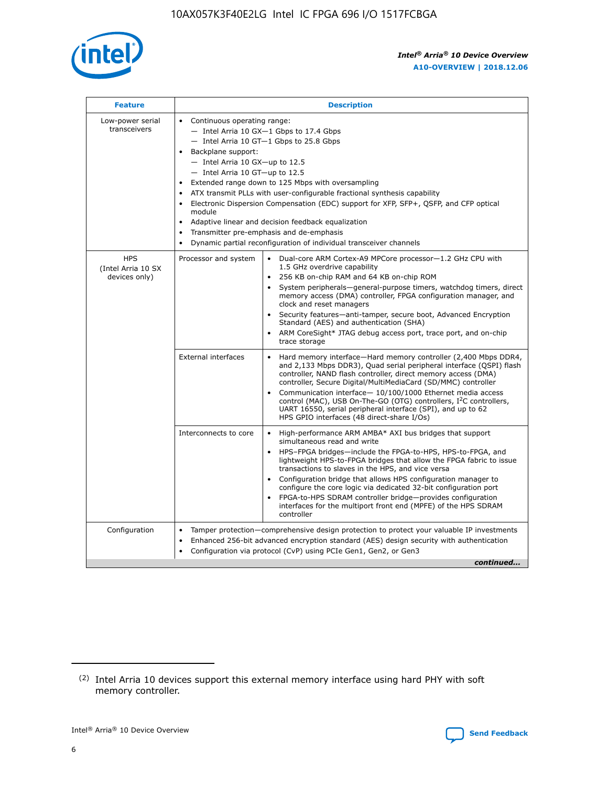

| <b>Feature</b>                                    | <b>Description</b>                                                                                                                                                                                                                                                                                                                                                                                                                                                                                                                                                                                                                         |  |  |  |  |  |  |  |
|---------------------------------------------------|--------------------------------------------------------------------------------------------------------------------------------------------------------------------------------------------------------------------------------------------------------------------------------------------------------------------------------------------------------------------------------------------------------------------------------------------------------------------------------------------------------------------------------------------------------------------------------------------------------------------------------------------|--|--|--|--|--|--|--|
| Low-power serial<br>transceivers                  | • Continuous operating range:<br>- Intel Arria 10 GX-1 Gbps to 17.4 Gbps<br>- Intel Arria 10 GT-1 Gbps to 25.8 Gbps<br>Backplane support:<br>$-$ Intel Arria 10 GX-up to 12.5<br>- Intel Arria 10 GT-up to 12.5<br>Extended range down to 125 Mbps with oversampling<br>ATX transmit PLLs with user-configurable fractional synthesis capability<br>Electronic Dispersion Compensation (EDC) support for XFP, SFP+, QSFP, and CFP optical<br>module<br>• Adaptive linear and decision feedback equalization<br>Transmitter pre-emphasis and de-emphasis<br>$\bullet$<br>Dynamic partial reconfiguration of individual transceiver channels |  |  |  |  |  |  |  |
| <b>HPS</b><br>(Intel Arria 10 SX<br>devices only) | Dual-core ARM Cortex-A9 MPCore processor-1.2 GHz CPU with<br>Processor and system<br>$\bullet$<br>1.5 GHz overdrive capability<br>256 KB on-chip RAM and 64 KB on-chip ROM<br>System peripherals-general-purpose timers, watchdog timers, direct<br>memory access (DMA) controller, FPGA configuration manager, and<br>clock and reset managers<br>Security features-anti-tamper, secure boot, Advanced Encryption<br>$\bullet$<br>Standard (AES) and authentication (SHA)<br>ARM CoreSight* JTAG debug access port, trace port, and on-chip<br>trace storage                                                                              |  |  |  |  |  |  |  |
|                                                   | <b>External interfaces</b><br>Hard memory interface-Hard memory controller (2,400 Mbps DDR4,<br>$\bullet$<br>and 2,133 Mbps DDR3), Quad serial peripheral interface (QSPI) flash<br>controller, NAND flash controller, direct memory access (DMA)<br>controller, Secure Digital/MultiMediaCard (SD/MMC) controller<br>Communication interface-10/100/1000 Ethernet media access<br>$\bullet$<br>control (MAC), USB On-The-GO (OTG) controllers, I <sup>2</sup> C controllers,<br>UART 16550, serial peripheral interface (SPI), and up to 62<br>HPS GPIO interfaces (48 direct-share I/Os)                                                 |  |  |  |  |  |  |  |
|                                                   | High-performance ARM AMBA* AXI bus bridges that support<br>Interconnects to core<br>$\bullet$<br>simultaneous read and write<br>HPS-FPGA bridges-include the FPGA-to-HPS, HPS-to-FPGA, and<br>$\bullet$<br>lightweight HPS-to-FPGA bridges that allow the FPGA fabric to issue<br>transactions to slaves in the HPS, and vice versa<br>Configuration bridge that allows HPS configuration manager to<br>configure the core logic via dedicated 32-bit configuration port<br>FPGA-to-HPS SDRAM controller bridge-provides configuration<br>interfaces for the multiport front end (MPFE) of the HPS SDRAM<br>controller                     |  |  |  |  |  |  |  |
| Configuration                                     | Tamper protection—comprehensive design protection to protect your valuable IP investments<br>Enhanced 256-bit advanced encryption standard (AES) design security with authentication<br>٠<br>Configuration via protocol (CvP) using PCIe Gen1, Gen2, or Gen3<br>continued                                                                                                                                                                                                                                                                                                                                                                  |  |  |  |  |  |  |  |

<sup>(2)</sup> Intel Arria 10 devices support this external memory interface using hard PHY with soft memory controller.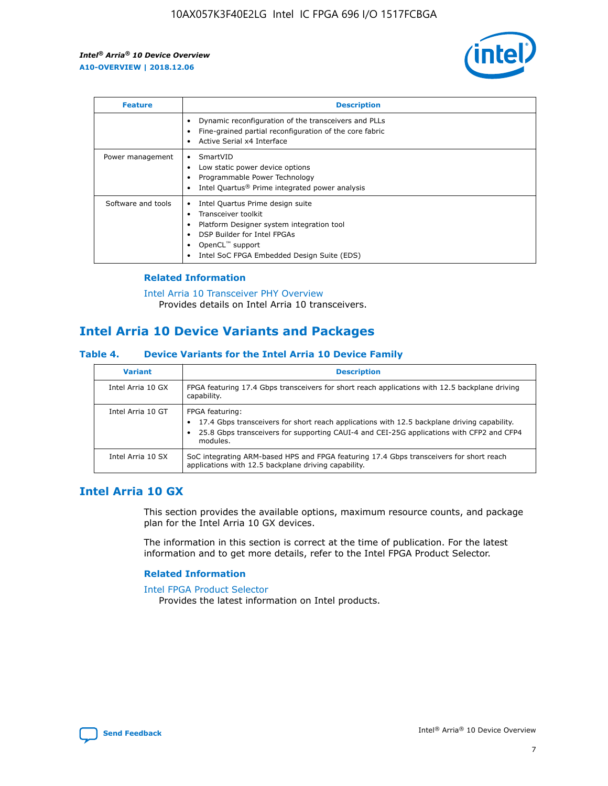

| <b>Feature</b>     | <b>Description</b>                                                                                                                                                                                               |
|--------------------|------------------------------------------------------------------------------------------------------------------------------------------------------------------------------------------------------------------|
|                    | Dynamic reconfiguration of the transceivers and PLLs<br>Fine-grained partial reconfiguration of the core fabric<br>Active Serial x4 Interface<br>$\bullet$                                                       |
| Power management   | SmartVID<br>Low static power device options<br>Programmable Power Technology<br>Intel Quartus <sup>®</sup> Prime integrated power analysis                                                                       |
| Software and tools | Intel Quartus Prime design suite<br>Transceiver toolkit<br>Platform Designer system integration tool<br>DSP Builder for Intel FPGAs<br>OpenCL <sup>™</sup> support<br>Intel SoC FPGA Embedded Design Suite (EDS) |

## **Related Information**

[Intel Arria 10 Transceiver PHY Overview](https://www.intel.com/content/www/us/en/programmable/documentation/nik1398707230472.html#nik1398706768037) Provides details on Intel Arria 10 transceivers.

## **Intel Arria 10 Device Variants and Packages**

#### **Table 4. Device Variants for the Intel Arria 10 Device Family**

| <b>Variant</b>    | <b>Description</b>                                                                                                                                                                                                     |
|-------------------|------------------------------------------------------------------------------------------------------------------------------------------------------------------------------------------------------------------------|
| Intel Arria 10 GX | FPGA featuring 17.4 Gbps transceivers for short reach applications with 12.5 backplane driving<br>capability.                                                                                                          |
| Intel Arria 10 GT | FPGA featuring:<br>17.4 Gbps transceivers for short reach applications with 12.5 backplane driving capability.<br>25.8 Gbps transceivers for supporting CAUI-4 and CEI-25G applications with CFP2 and CFP4<br>modules. |
| Intel Arria 10 SX | SoC integrating ARM-based HPS and FPGA featuring 17.4 Gbps transceivers for short reach<br>applications with 12.5 backplane driving capability.                                                                        |

## **Intel Arria 10 GX**

This section provides the available options, maximum resource counts, and package plan for the Intel Arria 10 GX devices.

The information in this section is correct at the time of publication. For the latest information and to get more details, refer to the Intel FPGA Product Selector.

#### **Related Information**

#### [Intel FPGA Product Selector](http://www.altera.com/products/selector/psg-selector.html) Provides the latest information on Intel products.

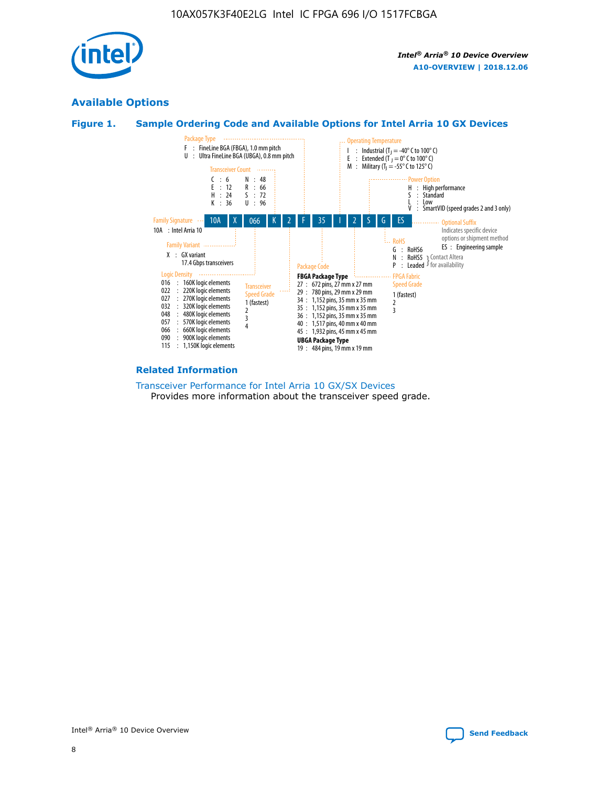

## **Available Options**





#### **Related Information**

[Transceiver Performance for Intel Arria 10 GX/SX Devices](https://www.intel.com/content/www/us/en/programmable/documentation/mcn1413182292568.html#mcn1413213965502) Provides more information about the transceiver speed grade.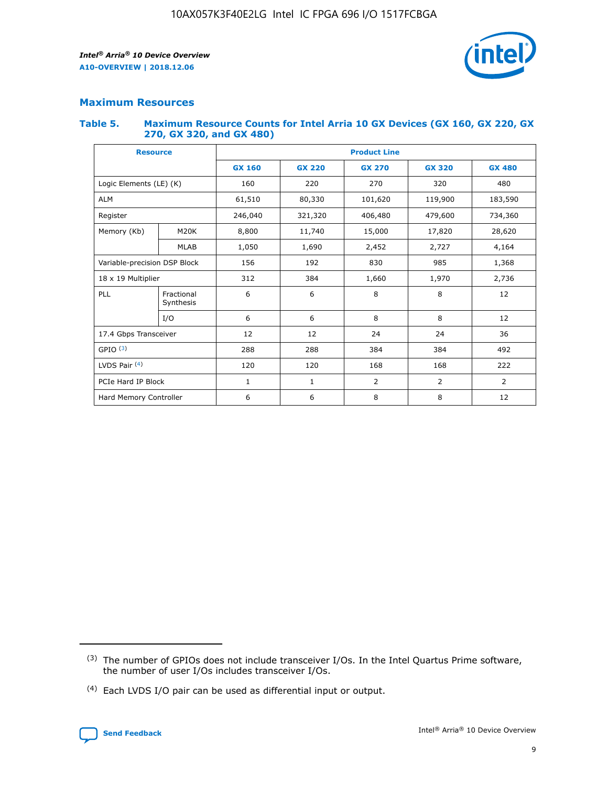

## **Maximum Resources**

#### **Table 5. Maximum Resource Counts for Intel Arria 10 GX Devices (GX 160, GX 220, GX 270, GX 320, and GX 480)**

| <b>Resource</b>         |                              | <b>Product Line</b> |                                                 |                    |                |                |  |  |
|-------------------------|------------------------------|---------------------|-------------------------------------------------|--------------------|----------------|----------------|--|--|
|                         |                              | <b>GX 160</b>       | <b>GX 220</b><br><b>GX 270</b><br><b>GX 320</b> |                    |                | <b>GX 480</b>  |  |  |
| Logic Elements (LE) (K) |                              | 160                 | 220                                             | 270                | 320            | 480            |  |  |
| <b>ALM</b>              |                              | 61,510              | 80,330                                          | 101,620            | 119,900        | 183,590        |  |  |
| Register                |                              | 246,040             | 321,320                                         | 406,480<br>479,600 |                | 734,360        |  |  |
| Memory (Kb)             | M <sub>20</sub> K            | 8,800               | 11,740                                          | 15,000             | 17,820         | 28,620         |  |  |
|                         | <b>MLAB</b>                  | 1,050               | 1,690                                           | 2,452              | 2,727          | 4,164          |  |  |
|                         | Variable-precision DSP Block |                     | 192                                             | 830                | 985            |                |  |  |
| 18 x 19 Multiplier      |                              | 312                 | 384                                             | 1,970<br>1,660     |                | 2,736          |  |  |
| PLL                     | Fractional<br>Synthesis      | 6                   | 6                                               | 8                  | 8              | 12             |  |  |
|                         | I/O                          | 6                   | 6                                               | 8                  | 8              | 12             |  |  |
| 17.4 Gbps Transceiver   |                              | 12                  | 12                                              | 24<br>24           |                | 36             |  |  |
| GPIO <sup>(3)</sup>     |                              | 288                 | 288                                             | 384<br>384         |                | 492            |  |  |
| LVDS Pair $(4)$         |                              | 120                 | 120                                             | 168                | 168            | 222            |  |  |
| PCIe Hard IP Block      |                              | 1                   | 1                                               | 2                  | $\overline{2}$ | $\overline{2}$ |  |  |
| Hard Memory Controller  |                              | 6                   | 6                                               | 8                  | 8              | 12             |  |  |

<sup>(4)</sup> Each LVDS I/O pair can be used as differential input or output.



<sup>(3)</sup> The number of GPIOs does not include transceiver I/Os. In the Intel Quartus Prime software, the number of user I/Os includes transceiver I/Os.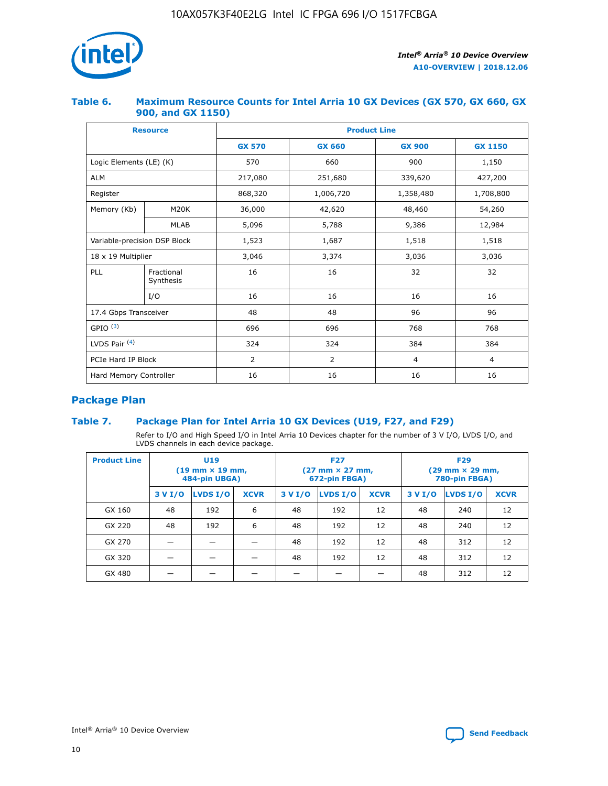

## **Table 6. Maximum Resource Counts for Intel Arria 10 GX Devices (GX 570, GX 660, GX 900, and GX 1150)**

|                              | <b>Resource</b>         | <b>Product Line</b> |                |                |                |  |  |  |
|------------------------------|-------------------------|---------------------|----------------|----------------|----------------|--|--|--|
|                              |                         | <b>GX 570</b>       | <b>GX 660</b>  | <b>GX 900</b>  | <b>GX 1150</b> |  |  |  |
| Logic Elements (LE) (K)      |                         | 570                 | 660            | 900            | 1,150          |  |  |  |
| <b>ALM</b>                   |                         | 217,080             | 251,680        | 339,620        | 427,200        |  |  |  |
| Register                     |                         | 868,320             | 1,006,720      | 1,358,480      | 1,708,800      |  |  |  |
| Memory (Kb)                  | <b>M20K</b>             | 36,000              | 42,620         | 48,460         | 54,260         |  |  |  |
|                              | <b>MLAB</b>             | 5,096               | 5,788          | 9,386          | 12,984         |  |  |  |
| Variable-precision DSP Block |                         | 1,523               | 1,687          | 1,518          | 1,518          |  |  |  |
| 18 x 19 Multiplier           |                         | 3,046               | 3,374          | 3,036          | 3,036          |  |  |  |
| PLL                          | Fractional<br>Synthesis | 16                  | 16             | 32             | 32             |  |  |  |
|                              | I/O                     | 16                  | 16             | 16             | 16             |  |  |  |
| 17.4 Gbps Transceiver        |                         | 48                  | 48             | 96             | 96             |  |  |  |
| GPIO <sup>(3)</sup>          |                         | 696                 | 696            | 768            | 768            |  |  |  |
| LVDS Pair $(4)$              |                         | 324                 | 324            | 384            | 384            |  |  |  |
| PCIe Hard IP Block           |                         | 2                   | $\overline{2}$ | $\overline{4}$ | $\overline{4}$ |  |  |  |
| Hard Memory Controller       |                         | 16                  | 16             | 16             | 16             |  |  |  |

## **Package Plan**

## **Table 7. Package Plan for Intel Arria 10 GX Devices (U19, F27, and F29)**

Refer to I/O and High Speed I/O in Intel Arria 10 Devices chapter for the number of 3 V I/O, LVDS I/O, and LVDS channels in each device package.

| <b>Product Line</b> | U <sub>19</sub><br>$(19 \text{ mm} \times 19 \text{ mm})$<br>484-pin UBGA) |          |             |         | <b>F27</b><br>(27 mm × 27 mm,<br>672-pin FBGA) |             | <b>F29</b><br>(29 mm × 29 mm,<br>780-pin FBGA) |          |             |
|---------------------|----------------------------------------------------------------------------|----------|-------------|---------|------------------------------------------------|-------------|------------------------------------------------|----------|-------------|
|                     | 3 V I/O                                                                    | LVDS I/O | <b>XCVR</b> | 3 V I/O | LVDS I/O                                       | <b>XCVR</b> | 3 V I/O                                        | LVDS I/O | <b>XCVR</b> |
| GX 160              | 48                                                                         | 192      | 6           | 48      | 192                                            | 12          | 48                                             | 240      | 12          |
| GX 220              | 48                                                                         | 192      | 6           | 48      | 192                                            | 12          | 48                                             | 240      | 12          |
| GX 270              |                                                                            |          |             | 48      | 192                                            | 12          | 48                                             | 312      | 12          |
| GX 320              |                                                                            |          |             | 48      | 192                                            | 12          | 48                                             | 312      | 12          |
| GX 480              |                                                                            |          |             |         |                                                |             | 48                                             | 312      | 12          |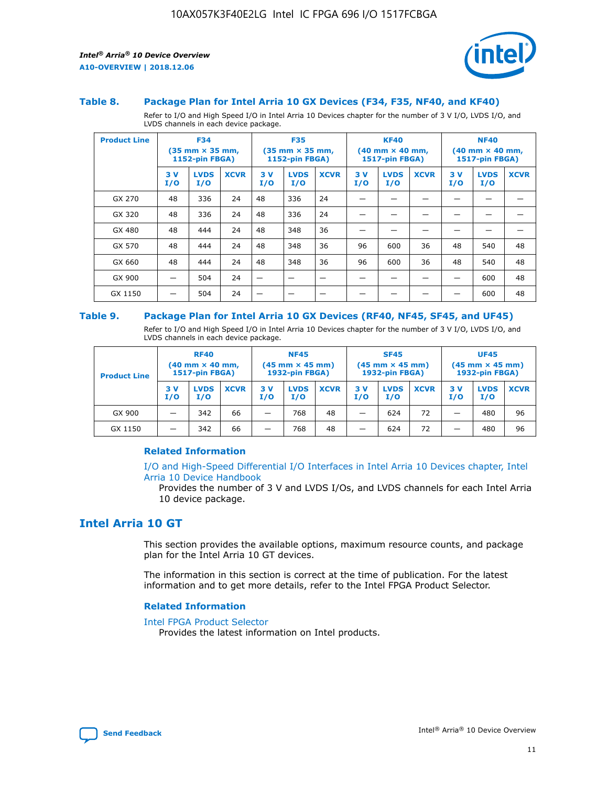

#### **Table 8. Package Plan for Intel Arria 10 GX Devices (F34, F35, NF40, and KF40)**

Refer to I/O and High Speed I/O in Intel Arria 10 Devices chapter for the number of 3 V I/O, LVDS I/O, and LVDS channels in each device package.

| <b>Product Line</b> | <b>F34</b><br>$(35 \text{ mm} \times 35 \text{ mm})$<br><b>1152-pin FBGA)</b> |                    | <b>F35</b><br>$(35 \text{ mm} \times 35 \text{ mm})$<br><b>1152-pin FBGA)</b> |           | <b>KF40</b><br>$(40$ mm $\times$ 40 mm,<br><b>1517-pin FBGA)</b> |             |           | <b>NF40</b><br>$(40 \text{ mm} \times 40 \text{ mm})$<br>1517-pin FBGA) |             |           |                    |             |
|---------------------|-------------------------------------------------------------------------------|--------------------|-------------------------------------------------------------------------------|-----------|------------------------------------------------------------------|-------------|-----------|-------------------------------------------------------------------------|-------------|-----------|--------------------|-------------|
|                     | 3V<br>I/O                                                                     | <b>LVDS</b><br>I/O | <b>XCVR</b>                                                                   | 3V<br>I/O | <b>LVDS</b><br>I/O                                               | <b>XCVR</b> | 3V<br>I/O | <b>LVDS</b><br>I/O                                                      | <b>XCVR</b> | 3V<br>I/O | <b>LVDS</b><br>I/O | <b>XCVR</b> |
| GX 270              | 48                                                                            | 336                | 24                                                                            | 48        | 336                                                              | 24          |           |                                                                         |             |           |                    |             |
| GX 320              | 48                                                                            | 336                | 24                                                                            | 48        | 336                                                              | 24          |           |                                                                         |             |           |                    |             |
| GX 480              | 48                                                                            | 444                | 24                                                                            | 48        | 348                                                              | 36          |           |                                                                         |             |           |                    |             |
| GX 570              | 48                                                                            | 444                | 24                                                                            | 48        | 348                                                              | 36          | 96        | 600                                                                     | 36          | 48        | 540                | 48          |
| GX 660              | 48                                                                            | 444                | 24                                                                            | 48        | 348                                                              | 36          | 96        | 600                                                                     | 36          | 48        | 540                | 48          |
| GX 900              |                                                                               | 504                | 24                                                                            | –         |                                                                  | -           |           |                                                                         |             |           | 600                | 48          |
| GX 1150             |                                                                               | 504                | 24                                                                            |           |                                                                  |             |           |                                                                         |             |           | 600                | 48          |

#### **Table 9. Package Plan for Intel Arria 10 GX Devices (RF40, NF45, SF45, and UF45)**

Refer to I/O and High Speed I/O in Intel Arria 10 Devices chapter for the number of 3 V I/O, LVDS I/O, and LVDS channels in each device package.

| <b>Product Line</b> | <b>RF40</b><br>$(40$ mm $\times$ 40 mm,<br>1517-pin FBGA) |                    |             | <b>NF45</b><br>$(45 \text{ mm} \times 45 \text{ mm})$<br><b>1932-pin FBGA)</b> |                    |             | <b>SF45</b><br>$(45 \text{ mm} \times 45 \text{ mm})$<br><b>1932-pin FBGA)</b> |                    |             | <b>UF45</b><br>$(45 \text{ mm} \times 45 \text{ mm})$<br><b>1932-pin FBGA)</b> |                    |             |
|---------------------|-----------------------------------------------------------|--------------------|-------------|--------------------------------------------------------------------------------|--------------------|-------------|--------------------------------------------------------------------------------|--------------------|-------------|--------------------------------------------------------------------------------|--------------------|-------------|
|                     | 3V<br>I/O                                                 | <b>LVDS</b><br>I/O | <b>XCVR</b> | 3 V<br>I/O                                                                     | <b>LVDS</b><br>I/O | <b>XCVR</b> | 3 V<br>I/O                                                                     | <b>LVDS</b><br>I/O | <b>XCVR</b> | 3V<br>I/O                                                                      | <b>LVDS</b><br>I/O | <b>XCVR</b> |
| GX 900              |                                                           | 342                | 66          | _                                                                              | 768                | 48          |                                                                                | 624                | 72          |                                                                                | 480                | 96          |
| GX 1150             |                                                           | 342                | 66          | _                                                                              | 768                | 48          |                                                                                | 624                | 72          |                                                                                | 480                | 96          |

#### **Related Information**

[I/O and High-Speed Differential I/O Interfaces in Intel Arria 10 Devices chapter, Intel](https://www.intel.com/content/www/us/en/programmable/documentation/sam1403482614086.html#sam1403482030321) [Arria 10 Device Handbook](https://www.intel.com/content/www/us/en/programmable/documentation/sam1403482614086.html#sam1403482030321)

Provides the number of 3 V and LVDS I/Os, and LVDS channels for each Intel Arria 10 device package.

## **Intel Arria 10 GT**

This section provides the available options, maximum resource counts, and package plan for the Intel Arria 10 GT devices.

The information in this section is correct at the time of publication. For the latest information and to get more details, refer to the Intel FPGA Product Selector.

#### **Related Information**

#### [Intel FPGA Product Selector](http://www.altera.com/products/selector/psg-selector.html)

Provides the latest information on Intel products.

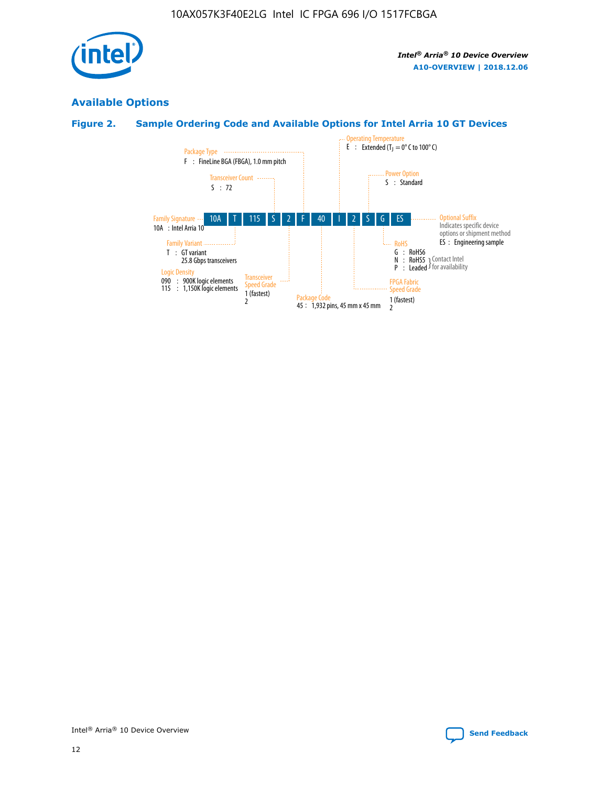

## **Available Options**

## **Figure 2. Sample Ordering Code and Available Options for Intel Arria 10 GT Devices**

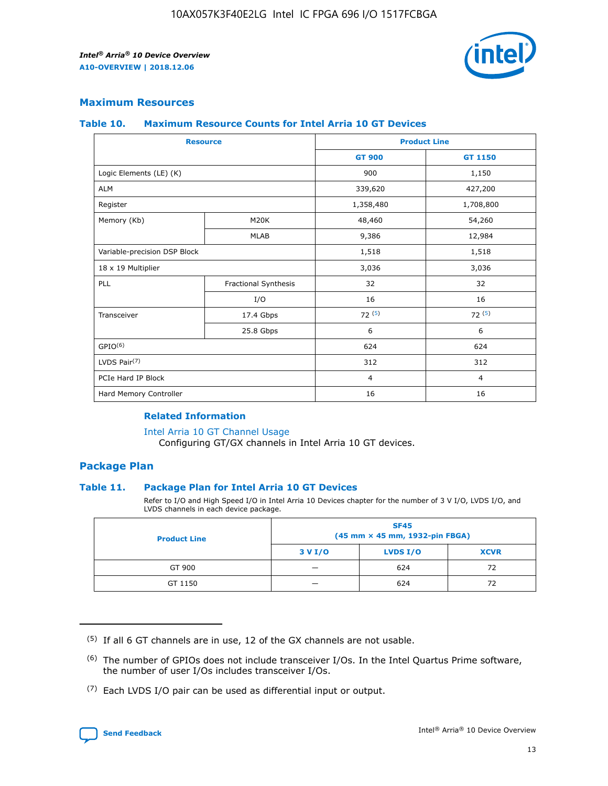

## **Maximum Resources**

#### **Table 10. Maximum Resource Counts for Intel Arria 10 GT Devices**

|                              | <b>Resource</b>      | <b>Product Line</b> |                |  |
|------------------------------|----------------------|---------------------|----------------|--|
|                              |                      | <b>GT 900</b>       | GT 1150        |  |
| Logic Elements (LE) (K)      |                      | 900                 | 1,150          |  |
| <b>ALM</b>                   |                      | 339,620             | 427,200        |  |
| Register                     |                      | 1,358,480           | 1,708,800      |  |
| Memory (Kb)                  | M20K                 | 48,460              | 54,260         |  |
|                              | <b>MLAB</b>          | 9,386               | 12,984         |  |
| Variable-precision DSP Block |                      | 1,518               | 1,518          |  |
| 18 x 19 Multiplier           |                      | 3,036               | 3,036          |  |
| PLL                          | Fractional Synthesis | 32                  | 32             |  |
|                              | I/O                  | 16                  | 16             |  |
| Transceiver                  | 17.4 Gbps            | 72(5)               | 72(5)          |  |
|                              | 25.8 Gbps            | 6                   | 6              |  |
| GPIO <sup>(6)</sup>          |                      | 624                 | 624            |  |
| LVDS Pair $(7)$              |                      | 312                 | 312            |  |
| PCIe Hard IP Block           |                      | $\overline{4}$      | $\overline{4}$ |  |
| Hard Memory Controller       |                      | 16                  | 16             |  |

#### **Related Information**

#### [Intel Arria 10 GT Channel Usage](https://www.intel.com/content/www/us/en/programmable/documentation/nik1398707230472.html#nik1398707008178)

Configuring GT/GX channels in Intel Arria 10 GT devices.

## **Package Plan**

#### **Table 11. Package Plan for Intel Arria 10 GT Devices**

Refer to I/O and High Speed I/O in Intel Arria 10 Devices chapter for the number of 3 V I/O, LVDS I/O, and LVDS channels in each device package.

| <b>Product Line</b> | <b>SF45</b><br>(45 mm × 45 mm, 1932-pin FBGA) |                 |             |  |  |  |
|---------------------|-----------------------------------------------|-----------------|-------------|--|--|--|
|                     | 3 V I/O                                       | <b>LVDS I/O</b> | <b>XCVR</b> |  |  |  |
| GT 900              |                                               | 624             | 72          |  |  |  |
| GT 1150             |                                               | 624             | 72          |  |  |  |

<sup>(7)</sup> Each LVDS I/O pair can be used as differential input or output.



 $(5)$  If all 6 GT channels are in use, 12 of the GX channels are not usable.

<sup>(6)</sup> The number of GPIOs does not include transceiver I/Os. In the Intel Quartus Prime software, the number of user I/Os includes transceiver I/Os.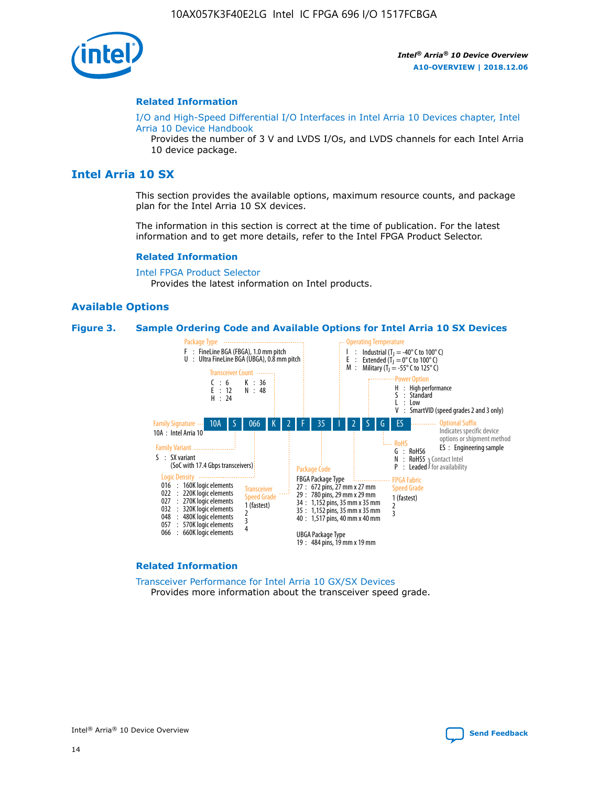

#### **Related Information**

[I/O and High-Speed Differential I/O Interfaces in Intel Arria 10 Devices chapter, Intel](https://www.intel.com/content/www/us/en/programmable/documentation/sam1403482614086.html#sam1403482030321) [Arria 10 Device Handbook](https://www.intel.com/content/www/us/en/programmable/documentation/sam1403482614086.html#sam1403482030321)

Provides the number of 3 V and LVDS I/Os, and LVDS channels for each Intel Arria 10 device package.

## **Intel Arria 10 SX**

This section provides the available options, maximum resource counts, and package plan for the Intel Arria 10 SX devices.

The information in this section is correct at the time of publication. For the latest information and to get more details, refer to the Intel FPGA Product Selector.

#### **Related Information**

[Intel FPGA Product Selector](http://www.altera.com/products/selector/psg-selector.html) Provides the latest information on Intel products.

#### **Available Options**

#### **Figure 3. Sample Ordering Code and Available Options for Intel Arria 10 SX Devices**



#### **Related Information**

[Transceiver Performance for Intel Arria 10 GX/SX Devices](https://www.intel.com/content/www/us/en/programmable/documentation/mcn1413182292568.html#mcn1413213965502) Provides more information about the transceiver speed grade.

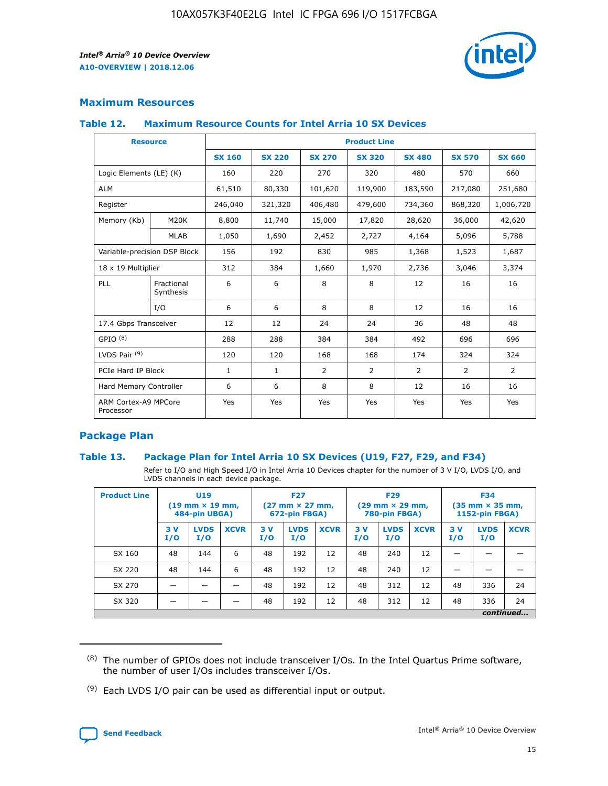

## **Maximum Resources**

#### **Table 12. Maximum Resource Counts for Intel Arria 10 SX Devices**

|                                   | <b>Resource</b>         | <b>Product Line</b> |               |                |                |                |                |                |  |  |  |
|-----------------------------------|-------------------------|---------------------|---------------|----------------|----------------|----------------|----------------|----------------|--|--|--|
|                                   |                         | <b>SX 160</b>       | <b>SX 220</b> | <b>SX 270</b>  | <b>SX 320</b>  | <b>SX 480</b>  | <b>SX 570</b>  | <b>SX 660</b>  |  |  |  |
| Logic Elements (LE) (K)           |                         | 160                 | 220           | 270            | 320            | 480            | 570            | 660            |  |  |  |
| <b>ALM</b>                        |                         | 61,510              | 80,330        | 101,620        | 119,900        | 183,590        | 217,080        | 251,680        |  |  |  |
| Register                          |                         | 246,040             | 321,320       | 406,480        | 479,600        | 734,360        | 868,320        | 1,006,720      |  |  |  |
| Memory (Kb)                       | M <sub>20</sub> K       | 8,800               | 11,740        | 15,000         | 17,820         | 28,620         | 36,000         | 42,620         |  |  |  |
|                                   | <b>MLAB</b>             | 1,050               | 1,690         | 2,452          | 2,727          | 4,164          | 5,096          | 5,788          |  |  |  |
| Variable-precision DSP Block      |                         | 156                 | 192           | 830            | 985            | 1,368          | 1,523          | 1,687          |  |  |  |
| 18 x 19 Multiplier                |                         | 312                 | 384           | 1,660          | 1,970          | 2,736          | 3,046          | 3,374          |  |  |  |
| <b>PLL</b>                        | Fractional<br>Synthesis | 6                   | 6             | 8              | 8              | 12             | 16             | 16             |  |  |  |
|                                   | I/O                     | 6                   | 6             | 8              | 8              | 12             | 16             | 16             |  |  |  |
| 17.4 Gbps Transceiver             |                         | 12                  | 12            | 24             | 24             | 36             | 48             | 48             |  |  |  |
| GPIO <sup>(8)</sup>               |                         | 288                 | 288           | 384            | 384            | 492            | 696            | 696            |  |  |  |
| LVDS Pair $(9)$                   |                         | 120                 | 120           | 168            | 168            | 174            | 324            | 324            |  |  |  |
| PCIe Hard IP Block                |                         | $\mathbf{1}$        | $\mathbf{1}$  | $\overline{2}$ | $\overline{2}$ | $\overline{2}$ | $\overline{2}$ | $\overline{2}$ |  |  |  |
| Hard Memory Controller            |                         | 6                   | 6             | 8              | 8              | 12             | 16             | 16             |  |  |  |
| ARM Cortex-A9 MPCore<br>Processor |                         | Yes                 | Yes           | Yes            | Yes            | Yes            | Yes            | Yes            |  |  |  |

## **Package Plan**

#### **Table 13. Package Plan for Intel Arria 10 SX Devices (U19, F27, F29, and F34)**

Refer to I/O and High Speed I/O in Intel Arria 10 Devices chapter for the number of 3 V I/O, LVDS I/O, and LVDS channels in each device package.

| <b>Product Line</b> | U19<br>$(19 \text{ mm} \times 19 \text{ mm})$<br>484-pin UBGA) |                    |             | <b>F27</b><br>$(27 \text{ mm} \times 27 \text{ mm})$ .<br>672-pin FBGA) |                    | <b>F29</b><br>$(29 \text{ mm} \times 29 \text{ mm})$ .<br>780-pin FBGA) |            |                    | <b>F34</b><br>$(35 \text{ mm} \times 35 \text{ mm})$<br><b>1152-pin FBGA)</b> |           |                    |             |
|---------------------|----------------------------------------------------------------|--------------------|-------------|-------------------------------------------------------------------------|--------------------|-------------------------------------------------------------------------|------------|--------------------|-------------------------------------------------------------------------------|-----------|--------------------|-------------|
|                     | 3V<br>I/O                                                      | <b>LVDS</b><br>I/O | <b>XCVR</b> | 3V<br>I/O                                                               | <b>LVDS</b><br>I/O | <b>XCVR</b>                                                             | 3 V<br>I/O | <b>LVDS</b><br>I/O | <b>XCVR</b>                                                                   | 3V<br>I/O | <b>LVDS</b><br>I/O | <b>XCVR</b> |
| SX 160              | 48                                                             | 144                | 6           | 48                                                                      | 192                | 12                                                                      | 48         | 240                | 12                                                                            |           |                    |             |
| SX 220              | 48                                                             | 144                | 6           | 48                                                                      | 192                | 12                                                                      | 48         | 240                | 12                                                                            |           |                    |             |
| SX 270              |                                                                |                    |             | 48                                                                      | 192                | 12                                                                      | 48         | 312                | 12                                                                            | 48        | 336                | 24          |
| SX 320              |                                                                |                    |             | 48                                                                      | 192                | 12                                                                      | 48         | 312                | 12                                                                            | 48        | 336                | 24          |
|                     | continued                                                      |                    |             |                                                                         |                    |                                                                         |            |                    |                                                                               |           |                    |             |

 $(8)$  The number of GPIOs does not include transceiver I/Os. In the Intel Quartus Prime software, the number of user I/Os includes transceiver I/Os.

 $(9)$  Each LVDS I/O pair can be used as differential input or output.

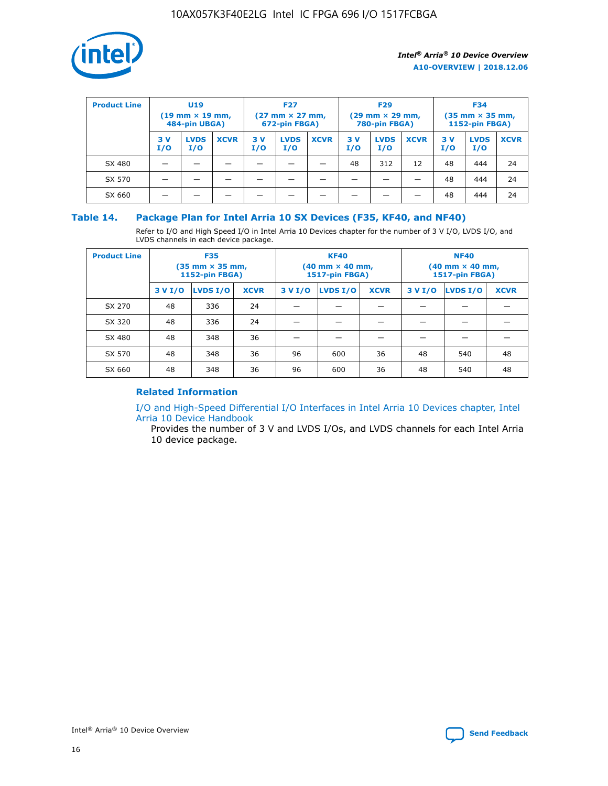

| <b>Product Line</b> | U <sub>19</sub><br>$(19 \text{ mm} \times 19 \text{ mm})$<br>484-pin UBGA) |                    | <b>F27</b><br>$(27 \text{ mm} \times 27 \text{ mm})$<br>672-pin FBGA) |           |                    | <b>F29</b><br>$(29 \text{ mm} \times 29 \text{ mm})$<br>780-pin FBGA) |           |                    | <b>F34</b><br>$(35$ mm $\times$ 35 mm,<br><b>1152-pin FBGA)</b> |           |                    |             |
|---------------------|----------------------------------------------------------------------------|--------------------|-----------------------------------------------------------------------|-----------|--------------------|-----------------------------------------------------------------------|-----------|--------------------|-----------------------------------------------------------------|-----------|--------------------|-------------|
|                     | 3V<br>I/O                                                                  | <b>LVDS</b><br>I/O | <b>XCVR</b>                                                           | 3V<br>I/O | <b>LVDS</b><br>I/O | <b>XCVR</b>                                                           | 3V<br>I/O | <b>LVDS</b><br>I/O | <b>XCVR</b>                                                     | 3V<br>I/O | <b>LVDS</b><br>I/O | <b>XCVR</b> |
| SX 480              |                                                                            |                    |                                                                       |           |                    |                                                                       | 48        | 312                | 12                                                              | 48        | 444                | 24          |
| SX 570              |                                                                            |                    |                                                                       |           |                    |                                                                       |           |                    |                                                                 | 48        | 444                | 24          |
| SX 660              |                                                                            |                    |                                                                       |           |                    |                                                                       |           |                    |                                                                 | 48        | 444                | 24          |

## **Table 14. Package Plan for Intel Arria 10 SX Devices (F35, KF40, and NF40)**

Refer to I/O and High Speed I/O in Intel Arria 10 Devices chapter for the number of 3 V I/O, LVDS I/O, and LVDS channels in each device package.

| <b>Product Line</b> | <b>F35</b><br>(35 mm × 35 mm,<br><b>1152-pin FBGA)</b> |          |             |                                           | <b>KF40</b><br>(40 mm × 40 mm,<br>1517-pin FBGA) |    | <b>NF40</b><br>$(40 \text{ mm} \times 40 \text{ mm})$<br>1517-pin FBGA) |          |             |  |
|---------------------|--------------------------------------------------------|----------|-------------|-------------------------------------------|--------------------------------------------------|----|-------------------------------------------------------------------------|----------|-------------|--|
|                     | 3 V I/O                                                | LVDS I/O | <b>XCVR</b> | <b>LVDS I/O</b><br>3 V I/O<br><b>XCVR</b> |                                                  |    | 3 V I/O                                                                 | LVDS I/O | <b>XCVR</b> |  |
| SX 270              | 48                                                     | 336      | 24          |                                           |                                                  |    |                                                                         |          |             |  |
| SX 320              | 48                                                     | 336      | 24          |                                           |                                                  |    |                                                                         |          |             |  |
| SX 480              | 48                                                     | 348      | 36          |                                           |                                                  |    |                                                                         |          |             |  |
| SX 570              | 48                                                     | 348      | 36          | 96                                        | 600                                              | 36 | 48                                                                      | 540      | 48          |  |
| SX 660              | 48                                                     | 348      | 36          | 96                                        | 600                                              | 36 | 48                                                                      | 540      | 48          |  |

## **Related Information**

[I/O and High-Speed Differential I/O Interfaces in Intel Arria 10 Devices chapter, Intel](https://www.intel.com/content/www/us/en/programmable/documentation/sam1403482614086.html#sam1403482030321) [Arria 10 Device Handbook](https://www.intel.com/content/www/us/en/programmable/documentation/sam1403482614086.html#sam1403482030321)

Provides the number of 3 V and LVDS I/Os, and LVDS channels for each Intel Arria 10 device package.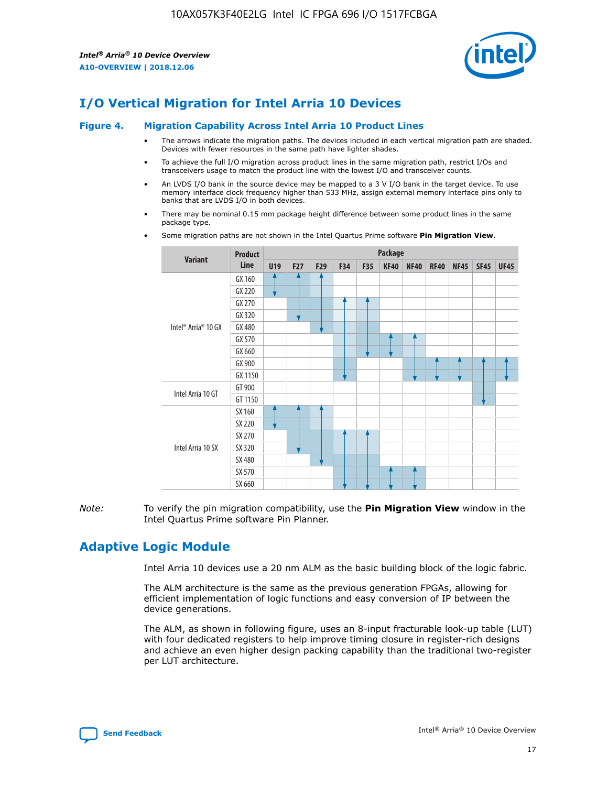

# **I/O Vertical Migration for Intel Arria 10 Devices**

#### **Figure 4. Migration Capability Across Intel Arria 10 Product Lines**

- The arrows indicate the migration paths. The devices included in each vertical migration path are shaded. Devices with fewer resources in the same path have lighter shades.
- To achieve the full I/O migration across product lines in the same migration path, restrict I/Os and transceivers usage to match the product line with the lowest I/O and transceiver counts.
- An LVDS I/O bank in the source device may be mapped to a 3 V I/O bank in the target device. To use memory interface clock frequency higher than 533 MHz, assign external memory interface pins only to banks that are LVDS I/O in both devices.
- There may be nominal 0.15 mm package height difference between some product lines in the same package type.
	- **Variant Product Line Package U19 F27 F29 F34 F35 KF40 NF40 RF40 NF45 SF45 UF45** Intel® Arria® 10 GX GX 160 GX 220 GX 270 GX 320 GX 480 GX 570 GX 660 GX 900 GX 1150 Intel Arria 10 GT GT 900 GT 1150 Intel Arria 10 SX SX 160 SX 220 SX 270 SX 320 SX 480 SX 570 SX 660
- Some migration paths are not shown in the Intel Quartus Prime software **Pin Migration View**.

*Note:* To verify the pin migration compatibility, use the **Pin Migration View** window in the Intel Quartus Prime software Pin Planner.

## **Adaptive Logic Module**

Intel Arria 10 devices use a 20 nm ALM as the basic building block of the logic fabric.

The ALM architecture is the same as the previous generation FPGAs, allowing for efficient implementation of logic functions and easy conversion of IP between the device generations.

The ALM, as shown in following figure, uses an 8-input fracturable look-up table (LUT) with four dedicated registers to help improve timing closure in register-rich designs and achieve an even higher design packing capability than the traditional two-register per LUT architecture.

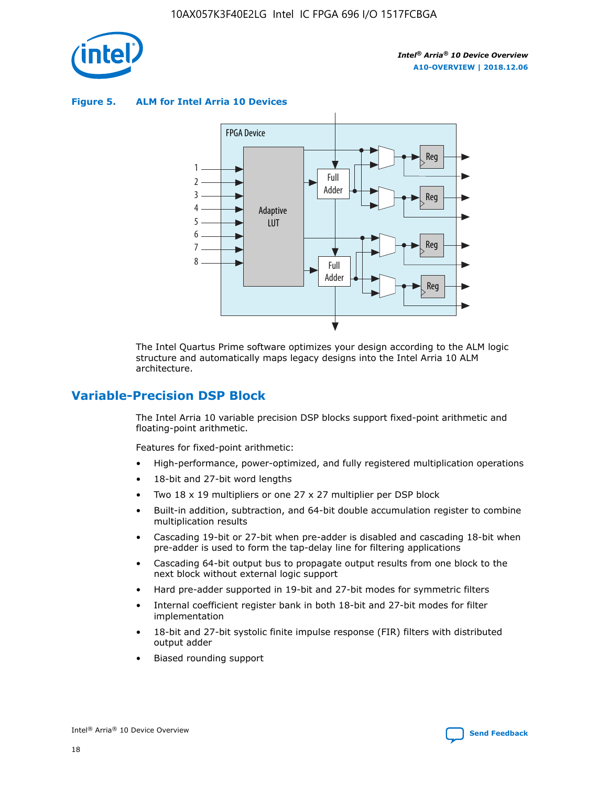

**Figure 5. ALM for Intel Arria 10 Devices**



The Intel Quartus Prime software optimizes your design according to the ALM logic structure and automatically maps legacy designs into the Intel Arria 10 ALM architecture.

## **Variable-Precision DSP Block**

The Intel Arria 10 variable precision DSP blocks support fixed-point arithmetic and floating-point arithmetic.

Features for fixed-point arithmetic:

- High-performance, power-optimized, and fully registered multiplication operations
- 18-bit and 27-bit word lengths
- Two 18 x 19 multipliers or one 27 x 27 multiplier per DSP block
- Built-in addition, subtraction, and 64-bit double accumulation register to combine multiplication results
- Cascading 19-bit or 27-bit when pre-adder is disabled and cascading 18-bit when pre-adder is used to form the tap-delay line for filtering applications
- Cascading 64-bit output bus to propagate output results from one block to the next block without external logic support
- Hard pre-adder supported in 19-bit and 27-bit modes for symmetric filters
- Internal coefficient register bank in both 18-bit and 27-bit modes for filter implementation
- 18-bit and 27-bit systolic finite impulse response (FIR) filters with distributed output adder
- Biased rounding support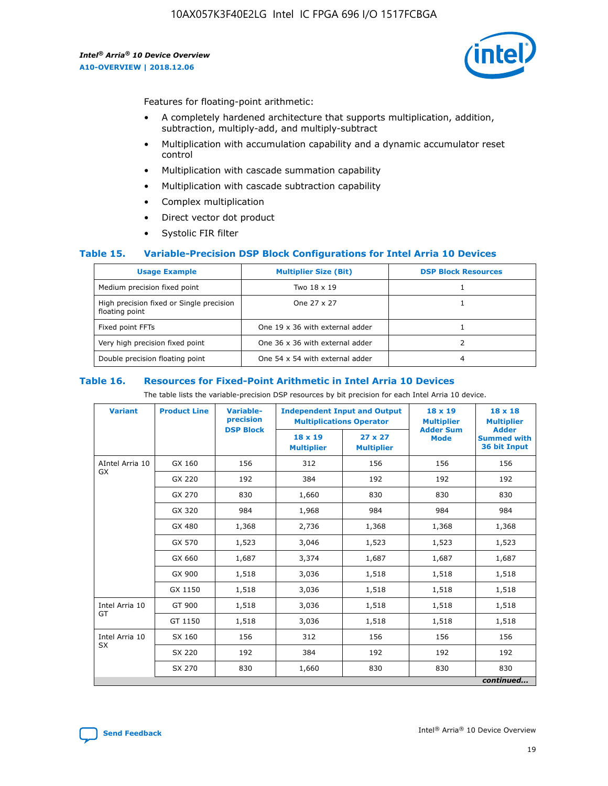

Features for floating-point arithmetic:

- A completely hardened architecture that supports multiplication, addition, subtraction, multiply-add, and multiply-subtract
- Multiplication with accumulation capability and a dynamic accumulator reset control
- Multiplication with cascade summation capability
- Multiplication with cascade subtraction capability
- Complex multiplication
- Direct vector dot product
- Systolic FIR filter

#### **Table 15. Variable-Precision DSP Block Configurations for Intel Arria 10 Devices**

| <b>Usage Example</b>                                       | <b>Multiplier Size (Bit)</b>    | <b>DSP Block Resources</b> |
|------------------------------------------------------------|---------------------------------|----------------------------|
| Medium precision fixed point                               | Two 18 x 19                     |                            |
| High precision fixed or Single precision<br>floating point | One 27 x 27                     |                            |
| Fixed point FFTs                                           | One 19 x 36 with external adder |                            |
| Very high precision fixed point                            | One 36 x 36 with external adder |                            |
| Double precision floating point                            | One 54 x 54 with external adder | 4                          |

#### **Table 16. Resources for Fixed-Point Arithmetic in Intel Arria 10 Devices**

The table lists the variable-precision DSP resources by bit precision for each Intel Arria 10 device.

| <b>Variant</b>        | <b>Product Line</b> | Variable-<br>precision<br><b>DSP Block</b> | <b>Independent Input and Output</b><br><b>Multiplications Operator</b> |                                     | 18 x 19<br><b>Multiplier</b><br><b>Adder Sum</b> | $18 \times 18$<br><b>Multiplier</b><br><b>Adder</b> |
|-----------------------|---------------------|--------------------------------------------|------------------------------------------------------------------------|-------------------------------------|--------------------------------------------------|-----------------------------------------------------|
|                       |                     |                                            | 18 x 19<br><b>Multiplier</b>                                           | $27 \times 27$<br><b>Multiplier</b> | <b>Mode</b>                                      | <b>Summed with</b><br>36 bit Input                  |
| AIntel Arria 10<br>GX | GX 160              | 156                                        | 312                                                                    | 156                                 | 156                                              | 156                                                 |
|                       | GX 220              | 192                                        | 384                                                                    | 192                                 | 192                                              | 192                                                 |
|                       | GX 270              | 830                                        | 1,660                                                                  | 830                                 | 830                                              | 830                                                 |
|                       | GX 320              | 984                                        | 1,968                                                                  | 984                                 | 984                                              | 984                                                 |
|                       | GX 480              | 1,368                                      | 2,736                                                                  | 1,368                               | 1,368                                            | 1,368                                               |
|                       | GX 570              | 1,523                                      | 3,046                                                                  | 1,523                               | 1,523                                            | 1,523                                               |
|                       | GX 660              | 1,687                                      | 3,374                                                                  | 1,687                               | 1,687                                            | 1,687                                               |
|                       | GX 900              | 1,518                                      | 3,036                                                                  | 1,518                               | 1,518                                            | 1,518                                               |
|                       | GX 1150             | 1,518                                      | 3,036                                                                  | 1,518                               | 1,518                                            | 1,518                                               |
| Intel Arria 10        | GT 900              | 1,518                                      | 3,036                                                                  | 1,518                               | 1,518                                            | 1,518                                               |
| GT                    | GT 1150             | 1,518                                      | 3,036                                                                  | 1,518                               | 1,518                                            | 1,518                                               |
| Intel Arria 10        | SX 160              | 156                                        | 312                                                                    | 156                                 | 156                                              | 156                                                 |
| <b>SX</b>             | SX 220              | 192                                        | 384                                                                    | 192                                 | 192                                              | 192                                                 |
|                       | SX 270              | 830                                        | 1,660                                                                  | 830                                 | 830                                              | 830                                                 |
|                       |                     |                                            |                                                                        |                                     |                                                  | continued                                           |

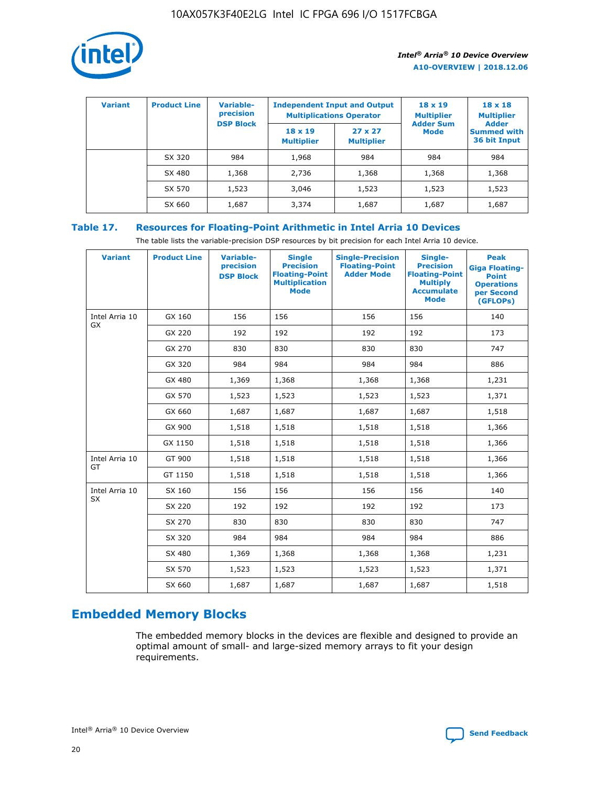

| <b>Variant</b> | <b>Product Line</b> | <b>Variable-</b><br>precision<br><b>DSP Block</b> | <b>Independent Input and Output</b><br><b>Multiplications Operator</b> |                                     | $18 \times 19$<br><b>Multiplier</b><br><b>Adder Sum</b> | $18 \times 18$<br><b>Multiplier</b><br><b>Adder</b> |  |
|----------------|---------------------|---------------------------------------------------|------------------------------------------------------------------------|-------------------------------------|---------------------------------------------------------|-----------------------------------------------------|--|
|                |                     |                                                   | $18 \times 19$<br><b>Multiplier</b>                                    | $27 \times 27$<br><b>Multiplier</b> | <b>Mode</b>                                             | <b>Summed with</b><br>36 bit Input                  |  |
|                | SX 320              | 984                                               | 1,968                                                                  | 984                                 | 984                                                     | 984                                                 |  |
|                | SX 480              | 1,368                                             | 2,736                                                                  | 1,368                               | 1,368                                                   | 1,368                                               |  |
|                | SX 570              | 1,523                                             | 3,046                                                                  | 1,523                               | 1,523                                                   | 1,523                                               |  |
|                | SX 660              | 1,687                                             | 3,374                                                                  | 1,687                               | 1,687                                                   | 1,687                                               |  |

## **Table 17. Resources for Floating-Point Arithmetic in Intel Arria 10 Devices**

The table lists the variable-precision DSP resources by bit precision for each Intel Arria 10 device.

| <b>Variant</b>              | <b>Product Line</b> | <b>Variable-</b><br>precision<br><b>DSP Block</b> | <b>Single</b><br><b>Precision</b><br><b>Floating-Point</b><br><b>Multiplication</b><br><b>Mode</b> | <b>Single-Precision</b><br><b>Floating-Point</b><br><b>Adder Mode</b> | Single-<br><b>Precision</b><br><b>Floating-Point</b><br><b>Multiply</b><br><b>Accumulate</b><br><b>Mode</b> | <b>Peak</b><br><b>Giga Floating-</b><br><b>Point</b><br><b>Operations</b><br>per Second<br>(GFLOPs) |
|-----------------------------|---------------------|---------------------------------------------------|----------------------------------------------------------------------------------------------------|-----------------------------------------------------------------------|-------------------------------------------------------------------------------------------------------------|-----------------------------------------------------------------------------------------------------|
| Intel Arria 10<br><b>GX</b> | GX 160              | 156                                               | 156                                                                                                | 156                                                                   | 156                                                                                                         | 140                                                                                                 |
|                             | GX 220              | 192                                               | 192                                                                                                | 192                                                                   | 192                                                                                                         | 173                                                                                                 |
|                             | GX 270              | 830                                               | 830                                                                                                | 830                                                                   | 830                                                                                                         | 747                                                                                                 |
|                             | GX 320              | 984                                               | 984                                                                                                | 984                                                                   | 984                                                                                                         | 886                                                                                                 |
|                             | GX 480              | 1,369                                             | 1,368                                                                                              | 1,368                                                                 | 1,368                                                                                                       | 1,231                                                                                               |
|                             | GX 570              | 1,523                                             | 1,523                                                                                              | 1,523                                                                 | 1,523                                                                                                       | 1,371                                                                                               |
|                             | GX 660              | 1,687                                             | 1,687                                                                                              | 1,687                                                                 | 1,687                                                                                                       | 1,518                                                                                               |
|                             | GX 900              | 1,518                                             | 1,518                                                                                              | 1,518                                                                 | 1,518                                                                                                       | 1,366                                                                                               |
|                             | GX 1150             | 1,518                                             | 1,518                                                                                              | 1,518                                                                 | 1,518                                                                                                       | 1,366                                                                                               |
| Intel Arria 10              | GT 900              | 1,518                                             | 1,518                                                                                              | 1,518                                                                 | 1,518                                                                                                       | 1,366                                                                                               |
| GT                          | GT 1150             | 1,518                                             | 1,518                                                                                              | 1,518                                                                 | 1,518                                                                                                       | 1,366                                                                                               |
| Intel Arria 10              | SX 160              | 156                                               | 156                                                                                                | 156                                                                   | 156                                                                                                         | 140                                                                                                 |
| <b>SX</b>                   | SX 220              | 192                                               | 192                                                                                                | 192                                                                   | 192                                                                                                         | 173                                                                                                 |
|                             | SX 270              | 830                                               | 830                                                                                                | 830                                                                   | 830                                                                                                         | 747                                                                                                 |
|                             | SX 320              | 984                                               | 984                                                                                                | 984                                                                   | 984                                                                                                         | 886                                                                                                 |
|                             | SX 480              | 1,369                                             | 1,368                                                                                              | 1,368                                                                 | 1,368                                                                                                       | 1,231                                                                                               |
|                             | SX 570              | 1,523                                             | 1,523                                                                                              | 1,523                                                                 | 1,523                                                                                                       | 1,371                                                                                               |
|                             | SX 660              | 1,687                                             | 1,687                                                                                              | 1,687                                                                 | 1,687                                                                                                       | 1,518                                                                                               |

# **Embedded Memory Blocks**

The embedded memory blocks in the devices are flexible and designed to provide an optimal amount of small- and large-sized memory arrays to fit your design requirements.

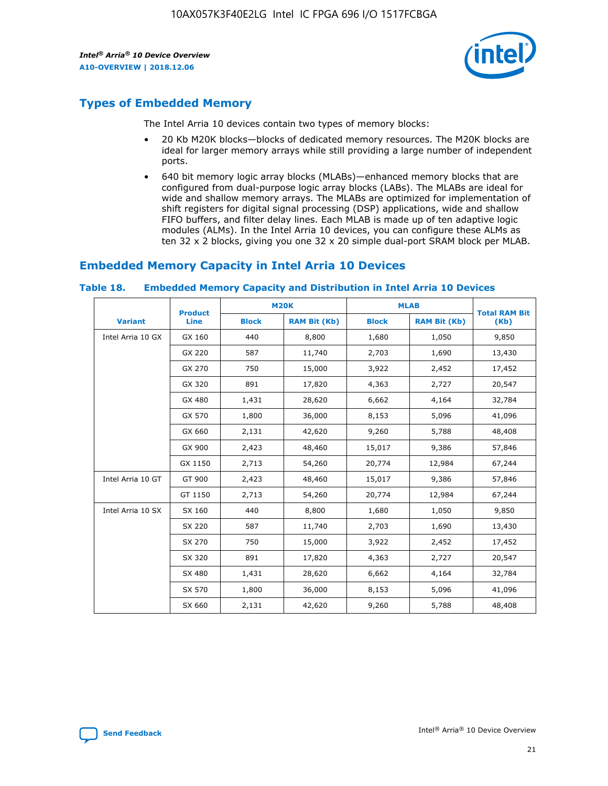

## **Types of Embedded Memory**

The Intel Arria 10 devices contain two types of memory blocks:

- 20 Kb M20K blocks—blocks of dedicated memory resources. The M20K blocks are ideal for larger memory arrays while still providing a large number of independent ports.
- 640 bit memory logic array blocks (MLABs)—enhanced memory blocks that are configured from dual-purpose logic array blocks (LABs). The MLABs are ideal for wide and shallow memory arrays. The MLABs are optimized for implementation of shift registers for digital signal processing (DSP) applications, wide and shallow FIFO buffers, and filter delay lines. Each MLAB is made up of ten adaptive logic modules (ALMs). In the Intel Arria 10 devices, you can configure these ALMs as ten 32 x 2 blocks, giving you one 32 x 20 simple dual-port SRAM block per MLAB.

## **Embedded Memory Capacity in Intel Arria 10 Devices**

|                   | <b>Product</b> |              | <b>M20K</b>         | <b>MLAB</b>  |                     | <b>Total RAM Bit</b> |
|-------------------|----------------|--------------|---------------------|--------------|---------------------|----------------------|
| <b>Variant</b>    | Line           | <b>Block</b> | <b>RAM Bit (Kb)</b> | <b>Block</b> | <b>RAM Bit (Kb)</b> | (Kb)                 |
| Intel Arria 10 GX | GX 160         | 440          | 8,800               | 1,680        | 1,050               | 9,850                |
|                   | GX 220         | 587          | 11,740              | 2,703        | 1,690               | 13,430               |
|                   | GX 270         | 750          | 15,000              | 3,922        | 2,452               | 17,452               |
|                   | GX 320         | 891          | 17,820              | 4,363        | 2,727               | 20,547               |
|                   | GX 480         | 1,431        | 28,620              | 6,662        | 4,164               | 32,784               |
|                   | GX 570         | 1,800        | 36,000              | 8,153        | 5,096               | 41,096               |
|                   | GX 660         | 2,131        | 42,620              | 9,260        | 5,788               | 48,408               |
|                   | GX 900         | 2,423        | 48,460              | 15,017       | 9,386               | 57,846               |
|                   | GX 1150        | 2,713        | 54,260              | 20,774       | 12,984              | 67,244               |
| Intel Arria 10 GT | GT 900         | 2,423        | 48,460              | 15,017       | 9,386               | 57,846               |
|                   | GT 1150        | 2,713        | 54,260              | 20,774       | 12,984              | 67,244               |
| Intel Arria 10 SX | SX 160         | 440          | 8,800               | 1,680        | 1,050               | 9,850                |
|                   | SX 220         | 587          | 11,740              | 2,703        | 1,690               | 13,430               |
|                   | SX 270         | 750          | 15,000              | 3,922        | 2,452               | 17,452               |
|                   | SX 320         | 891          | 17,820              | 4,363        | 2,727               | 20,547               |
|                   | SX 480         | 1,431        | 28,620              | 6,662        | 4,164               | 32,784               |
|                   | SX 570         | 1,800        | 36,000              | 8,153        | 5,096               | 41,096               |
|                   | SX 660         | 2,131        | 42,620              | 9,260        | 5,788               | 48,408               |

#### **Table 18. Embedded Memory Capacity and Distribution in Intel Arria 10 Devices**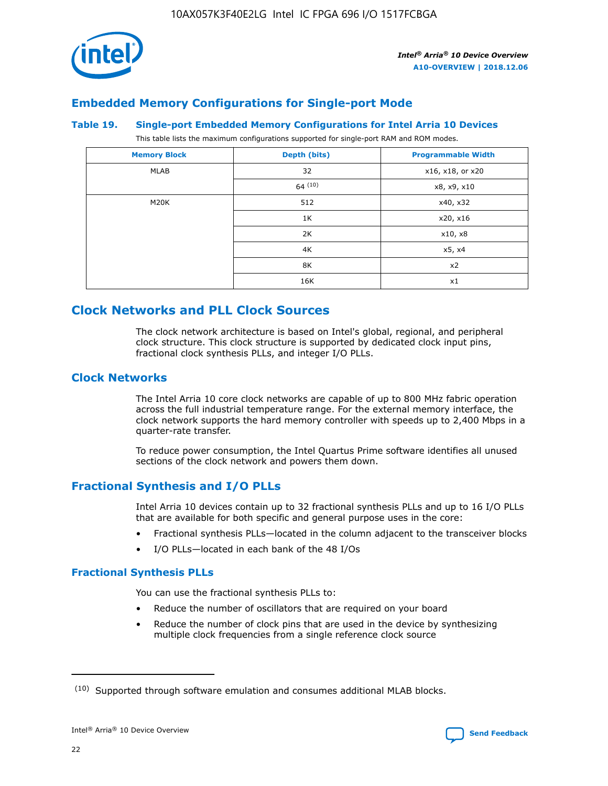

## **Embedded Memory Configurations for Single-port Mode**

#### **Table 19. Single-port Embedded Memory Configurations for Intel Arria 10 Devices**

This table lists the maximum configurations supported for single-port RAM and ROM modes.

| <b>Memory Block</b> | Depth (bits) | <b>Programmable Width</b> |
|---------------------|--------------|---------------------------|
| MLAB                | 32           | x16, x18, or x20          |
|                     | 64(10)       | x8, x9, x10               |
| M20K                | 512          | x40, x32                  |
|                     | 1K           | x20, x16                  |
|                     | 2K           | x10, x8                   |
|                     | 4K           | x5, x4                    |
|                     | 8K           | x2                        |
|                     | 16K          | x1                        |

## **Clock Networks and PLL Clock Sources**

The clock network architecture is based on Intel's global, regional, and peripheral clock structure. This clock structure is supported by dedicated clock input pins, fractional clock synthesis PLLs, and integer I/O PLLs.

## **Clock Networks**

The Intel Arria 10 core clock networks are capable of up to 800 MHz fabric operation across the full industrial temperature range. For the external memory interface, the clock network supports the hard memory controller with speeds up to 2,400 Mbps in a quarter-rate transfer.

To reduce power consumption, the Intel Quartus Prime software identifies all unused sections of the clock network and powers them down.

## **Fractional Synthesis and I/O PLLs**

Intel Arria 10 devices contain up to 32 fractional synthesis PLLs and up to 16 I/O PLLs that are available for both specific and general purpose uses in the core:

- Fractional synthesis PLLs—located in the column adjacent to the transceiver blocks
- I/O PLLs—located in each bank of the 48 I/Os

## **Fractional Synthesis PLLs**

You can use the fractional synthesis PLLs to:

- Reduce the number of oscillators that are required on your board
- Reduce the number of clock pins that are used in the device by synthesizing multiple clock frequencies from a single reference clock source

<sup>(10)</sup> Supported through software emulation and consumes additional MLAB blocks.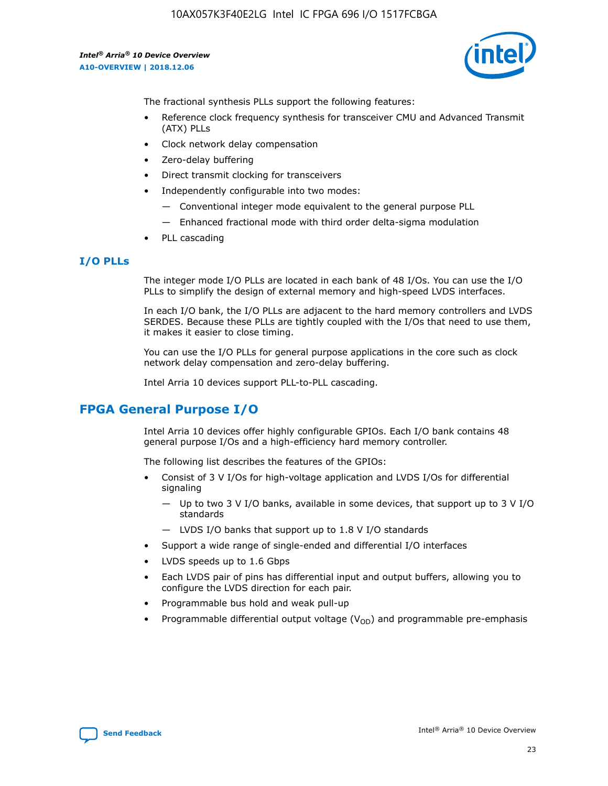

The fractional synthesis PLLs support the following features:

- Reference clock frequency synthesis for transceiver CMU and Advanced Transmit (ATX) PLLs
- Clock network delay compensation
- Zero-delay buffering
- Direct transmit clocking for transceivers
- Independently configurable into two modes:
	- Conventional integer mode equivalent to the general purpose PLL
	- Enhanced fractional mode with third order delta-sigma modulation
- PLL cascading

## **I/O PLLs**

The integer mode I/O PLLs are located in each bank of 48 I/Os. You can use the I/O PLLs to simplify the design of external memory and high-speed LVDS interfaces.

In each I/O bank, the I/O PLLs are adjacent to the hard memory controllers and LVDS SERDES. Because these PLLs are tightly coupled with the I/Os that need to use them, it makes it easier to close timing.

You can use the I/O PLLs for general purpose applications in the core such as clock network delay compensation and zero-delay buffering.

Intel Arria 10 devices support PLL-to-PLL cascading.

## **FPGA General Purpose I/O**

Intel Arria 10 devices offer highly configurable GPIOs. Each I/O bank contains 48 general purpose I/Os and a high-efficiency hard memory controller.

The following list describes the features of the GPIOs:

- Consist of 3 V I/Os for high-voltage application and LVDS I/Os for differential signaling
	- Up to two 3 V I/O banks, available in some devices, that support up to 3 V I/O standards
	- LVDS I/O banks that support up to 1.8 V I/O standards
- Support a wide range of single-ended and differential I/O interfaces
- LVDS speeds up to 1.6 Gbps
- Each LVDS pair of pins has differential input and output buffers, allowing you to configure the LVDS direction for each pair.
- Programmable bus hold and weak pull-up
- Programmable differential output voltage  $(V_{OD})$  and programmable pre-emphasis

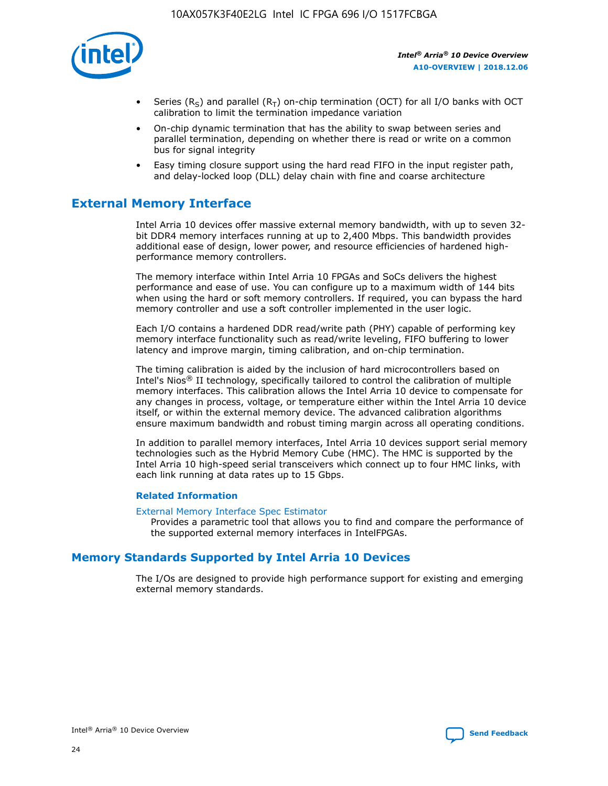

- Series (R<sub>S</sub>) and parallel (R<sub>T</sub>) on-chip termination (OCT) for all I/O banks with OCT calibration to limit the termination impedance variation
- On-chip dynamic termination that has the ability to swap between series and parallel termination, depending on whether there is read or write on a common bus for signal integrity
- Easy timing closure support using the hard read FIFO in the input register path, and delay-locked loop (DLL) delay chain with fine and coarse architecture

## **External Memory Interface**

Intel Arria 10 devices offer massive external memory bandwidth, with up to seven 32 bit DDR4 memory interfaces running at up to 2,400 Mbps. This bandwidth provides additional ease of design, lower power, and resource efficiencies of hardened highperformance memory controllers.

The memory interface within Intel Arria 10 FPGAs and SoCs delivers the highest performance and ease of use. You can configure up to a maximum width of 144 bits when using the hard or soft memory controllers. If required, you can bypass the hard memory controller and use a soft controller implemented in the user logic.

Each I/O contains a hardened DDR read/write path (PHY) capable of performing key memory interface functionality such as read/write leveling, FIFO buffering to lower latency and improve margin, timing calibration, and on-chip termination.

The timing calibration is aided by the inclusion of hard microcontrollers based on Intel's Nios® II technology, specifically tailored to control the calibration of multiple memory interfaces. This calibration allows the Intel Arria 10 device to compensate for any changes in process, voltage, or temperature either within the Intel Arria 10 device itself, or within the external memory device. The advanced calibration algorithms ensure maximum bandwidth and robust timing margin across all operating conditions.

In addition to parallel memory interfaces, Intel Arria 10 devices support serial memory technologies such as the Hybrid Memory Cube (HMC). The HMC is supported by the Intel Arria 10 high-speed serial transceivers which connect up to four HMC links, with each link running at data rates up to 15 Gbps.

#### **Related Information**

#### [External Memory Interface Spec Estimator](http://www.altera.com/technology/memory/estimator/mem-emif-index.html)

Provides a parametric tool that allows you to find and compare the performance of the supported external memory interfaces in IntelFPGAs.

## **Memory Standards Supported by Intel Arria 10 Devices**

The I/Os are designed to provide high performance support for existing and emerging external memory standards.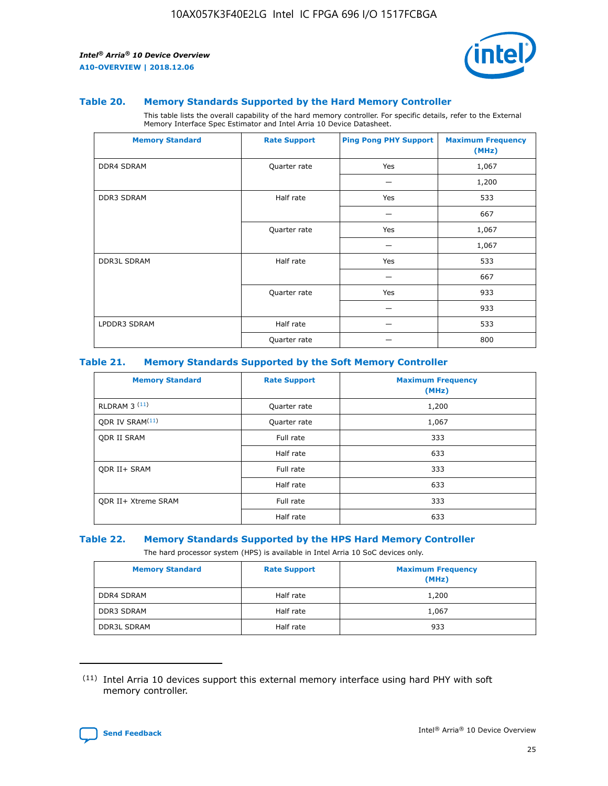

#### **Table 20. Memory Standards Supported by the Hard Memory Controller**

This table lists the overall capability of the hard memory controller. For specific details, refer to the External Memory Interface Spec Estimator and Intel Arria 10 Device Datasheet.

| <b>Memory Standard</b> | <b>Rate Support</b> | <b>Ping Pong PHY Support</b> | <b>Maximum Frequency</b><br>(MHz) |
|------------------------|---------------------|------------------------------|-----------------------------------|
| <b>DDR4 SDRAM</b>      | Quarter rate        | Yes                          | 1,067                             |
|                        |                     |                              | 1,200                             |
| DDR3 SDRAM             | Half rate           | Yes                          | 533                               |
|                        |                     |                              | 667                               |
|                        | Quarter rate        | Yes                          | 1,067                             |
|                        |                     |                              | 1,067                             |
| <b>DDR3L SDRAM</b>     | Half rate           | Yes                          | 533                               |
|                        |                     |                              | 667                               |
|                        | Quarter rate        | Yes                          | 933                               |
|                        |                     |                              | 933                               |
| LPDDR3 SDRAM           | Half rate           |                              | 533                               |
|                        | Quarter rate        |                              | 800                               |

#### **Table 21. Memory Standards Supported by the Soft Memory Controller**

| <b>Memory Standard</b>      | <b>Rate Support</b> | <b>Maximum Frequency</b><br>(MHz) |
|-----------------------------|---------------------|-----------------------------------|
| <b>RLDRAM 3 (11)</b>        | Quarter rate        | 1,200                             |
| ODR IV SRAM <sup>(11)</sup> | Quarter rate        | 1,067                             |
| <b>ODR II SRAM</b>          | Full rate           | 333                               |
|                             | Half rate           | 633                               |
| <b>ODR II+ SRAM</b>         | Full rate           | 333                               |
|                             | Half rate           | 633                               |
| <b>ODR II+ Xtreme SRAM</b>  | Full rate           | 333                               |
|                             | Half rate           | 633                               |

#### **Table 22. Memory Standards Supported by the HPS Hard Memory Controller**

The hard processor system (HPS) is available in Intel Arria 10 SoC devices only.

| <b>Memory Standard</b> | <b>Rate Support</b> | <b>Maximum Frequency</b><br>(MHz) |
|------------------------|---------------------|-----------------------------------|
| <b>DDR4 SDRAM</b>      | Half rate           | 1,200                             |
| <b>DDR3 SDRAM</b>      | Half rate           | 1,067                             |
| <b>DDR3L SDRAM</b>     | Half rate           | 933                               |

<sup>(11)</sup> Intel Arria 10 devices support this external memory interface using hard PHY with soft memory controller.

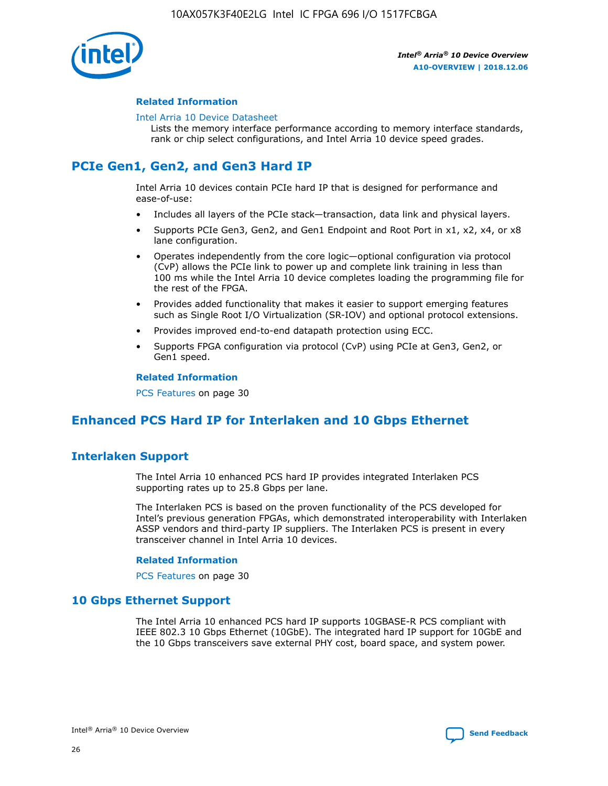

#### **Related Information**

#### [Intel Arria 10 Device Datasheet](https://www.intel.com/content/www/us/en/programmable/documentation/mcn1413182292568.html#mcn1413182153340)

Lists the memory interface performance according to memory interface standards, rank or chip select configurations, and Intel Arria 10 device speed grades.

# **PCIe Gen1, Gen2, and Gen3 Hard IP**

Intel Arria 10 devices contain PCIe hard IP that is designed for performance and ease-of-use:

- Includes all layers of the PCIe stack—transaction, data link and physical layers.
- Supports PCIe Gen3, Gen2, and Gen1 Endpoint and Root Port in x1, x2, x4, or x8 lane configuration.
- Operates independently from the core logic—optional configuration via protocol (CvP) allows the PCIe link to power up and complete link training in less than 100 ms while the Intel Arria 10 device completes loading the programming file for the rest of the FPGA.
- Provides added functionality that makes it easier to support emerging features such as Single Root I/O Virtualization (SR-IOV) and optional protocol extensions.
- Provides improved end-to-end datapath protection using ECC.
- Supports FPGA configuration via protocol (CvP) using PCIe at Gen3, Gen2, or Gen1 speed.

#### **Related Information**

PCS Features on page 30

## **Enhanced PCS Hard IP for Interlaken and 10 Gbps Ethernet**

## **Interlaken Support**

The Intel Arria 10 enhanced PCS hard IP provides integrated Interlaken PCS supporting rates up to 25.8 Gbps per lane.

The Interlaken PCS is based on the proven functionality of the PCS developed for Intel's previous generation FPGAs, which demonstrated interoperability with Interlaken ASSP vendors and third-party IP suppliers. The Interlaken PCS is present in every transceiver channel in Intel Arria 10 devices.

#### **Related Information**

PCS Features on page 30

## **10 Gbps Ethernet Support**

The Intel Arria 10 enhanced PCS hard IP supports 10GBASE-R PCS compliant with IEEE 802.3 10 Gbps Ethernet (10GbE). The integrated hard IP support for 10GbE and the 10 Gbps transceivers save external PHY cost, board space, and system power.

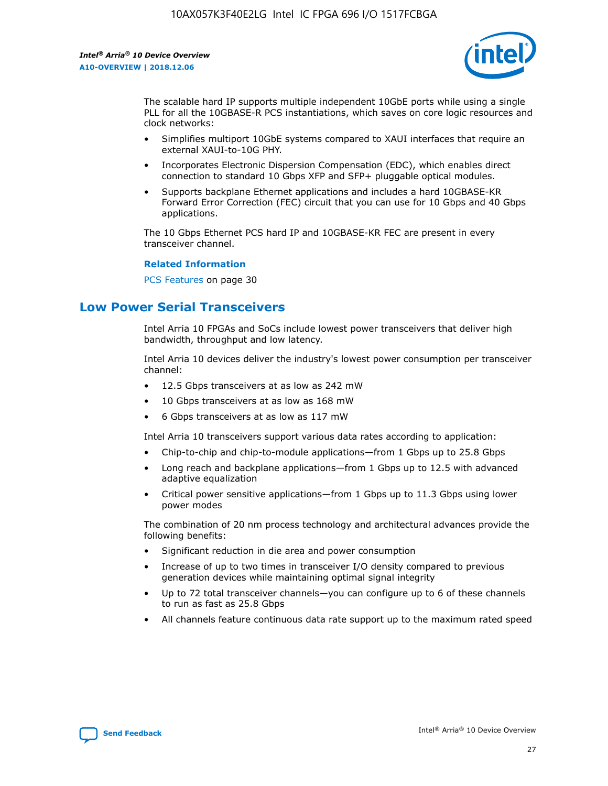

The scalable hard IP supports multiple independent 10GbE ports while using a single PLL for all the 10GBASE-R PCS instantiations, which saves on core logic resources and clock networks:

- Simplifies multiport 10GbE systems compared to XAUI interfaces that require an external XAUI-to-10G PHY.
- Incorporates Electronic Dispersion Compensation (EDC), which enables direct connection to standard 10 Gbps XFP and SFP+ pluggable optical modules.
- Supports backplane Ethernet applications and includes a hard 10GBASE-KR Forward Error Correction (FEC) circuit that you can use for 10 Gbps and 40 Gbps applications.

The 10 Gbps Ethernet PCS hard IP and 10GBASE-KR FEC are present in every transceiver channel.

#### **Related Information**

PCS Features on page 30

## **Low Power Serial Transceivers**

Intel Arria 10 FPGAs and SoCs include lowest power transceivers that deliver high bandwidth, throughput and low latency.

Intel Arria 10 devices deliver the industry's lowest power consumption per transceiver channel:

- 12.5 Gbps transceivers at as low as 242 mW
- 10 Gbps transceivers at as low as 168 mW
- 6 Gbps transceivers at as low as 117 mW

Intel Arria 10 transceivers support various data rates according to application:

- Chip-to-chip and chip-to-module applications—from 1 Gbps up to 25.8 Gbps
- Long reach and backplane applications—from 1 Gbps up to 12.5 with advanced adaptive equalization
- Critical power sensitive applications—from 1 Gbps up to 11.3 Gbps using lower power modes

The combination of 20 nm process technology and architectural advances provide the following benefits:

- Significant reduction in die area and power consumption
- Increase of up to two times in transceiver I/O density compared to previous generation devices while maintaining optimal signal integrity
- Up to 72 total transceiver channels—you can configure up to 6 of these channels to run as fast as 25.8 Gbps
- All channels feature continuous data rate support up to the maximum rated speed

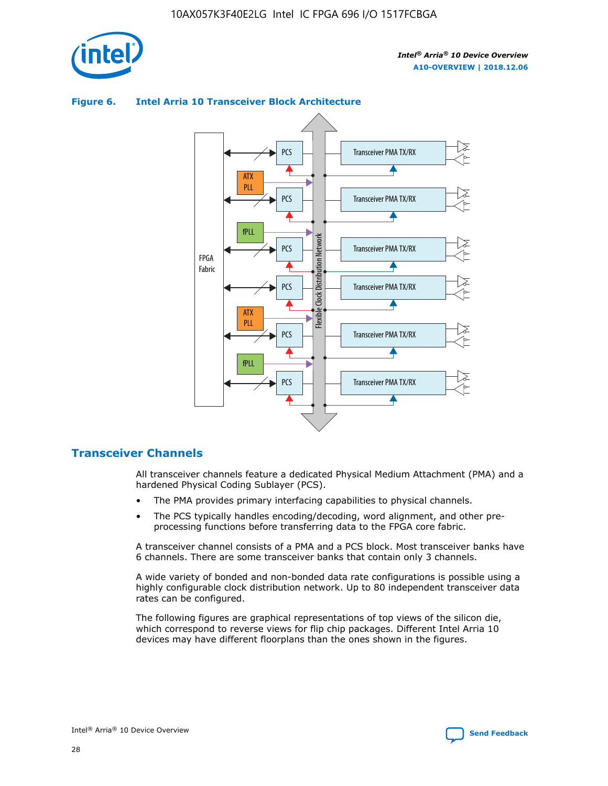

## Transceiver PMA TX/RX PCS ATX PLL Transceiver PMA TX/RX PCS fPLL Network Flexible Clock Distribution Network PCS Transceiver PMA TX/RX FPGA **Clock Distribution** Fabric PCS Transceiver PMA TX/RX ATX Flexible PLL PCS Transceiver PMA TX/RX ▲ fPLL Transceiver PMA TX/RX PCS 4

## **Figure 6. Intel Arria 10 Transceiver Block Architecture**

## **Transceiver Channels**

All transceiver channels feature a dedicated Physical Medium Attachment (PMA) and a hardened Physical Coding Sublayer (PCS).

- The PMA provides primary interfacing capabilities to physical channels.
- The PCS typically handles encoding/decoding, word alignment, and other preprocessing functions before transferring data to the FPGA core fabric.

A transceiver channel consists of a PMA and a PCS block. Most transceiver banks have 6 channels. There are some transceiver banks that contain only 3 channels.

A wide variety of bonded and non-bonded data rate configurations is possible using a highly configurable clock distribution network. Up to 80 independent transceiver data rates can be configured.

The following figures are graphical representations of top views of the silicon die, which correspond to reverse views for flip chip packages. Different Intel Arria 10 devices may have different floorplans than the ones shown in the figures.

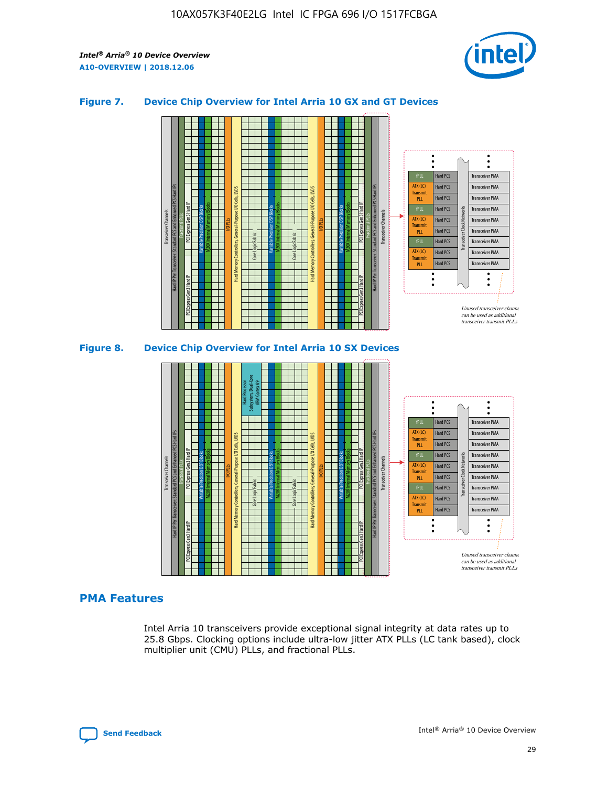

## **Figure 7. Device Chip Overview for Intel Arria 10 GX and GT Devices**





## **PMA Features**

Intel Arria 10 transceivers provide exceptional signal integrity at data rates up to 25.8 Gbps. Clocking options include ultra-low jitter ATX PLLs (LC tank based), clock multiplier unit (CMU) PLLs, and fractional PLLs.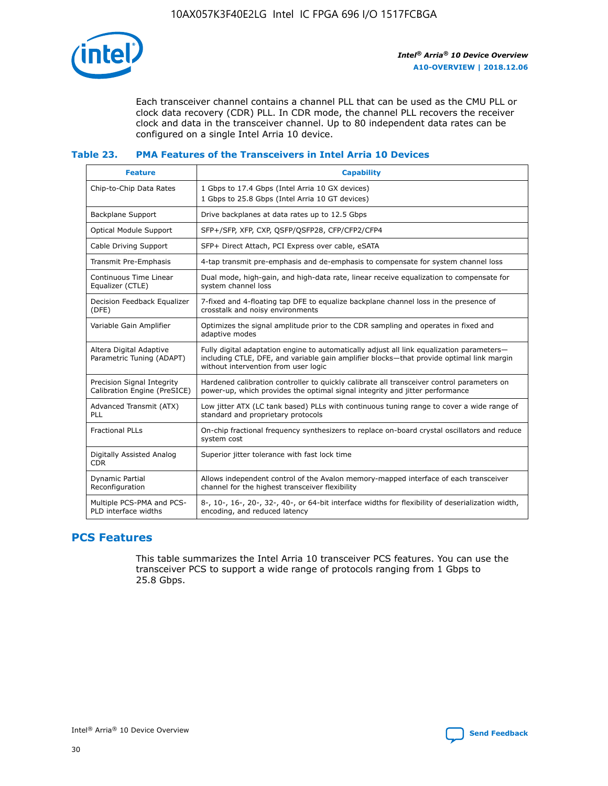

Each transceiver channel contains a channel PLL that can be used as the CMU PLL or clock data recovery (CDR) PLL. In CDR mode, the channel PLL recovers the receiver clock and data in the transceiver channel. Up to 80 independent data rates can be configured on a single Intel Arria 10 device.

## **Table 23. PMA Features of the Transceivers in Intel Arria 10 Devices**

| <b>Feature</b>                                             | <b>Capability</b>                                                                                                                                                                                                             |
|------------------------------------------------------------|-------------------------------------------------------------------------------------------------------------------------------------------------------------------------------------------------------------------------------|
| Chip-to-Chip Data Rates                                    | 1 Gbps to 17.4 Gbps (Intel Arria 10 GX devices)<br>1 Gbps to 25.8 Gbps (Intel Arria 10 GT devices)                                                                                                                            |
| Backplane Support                                          | Drive backplanes at data rates up to 12.5 Gbps                                                                                                                                                                                |
| Optical Module Support                                     | SFP+/SFP, XFP, CXP, QSFP/QSFP28, CFP/CFP2/CFP4                                                                                                                                                                                |
| Cable Driving Support                                      | SFP+ Direct Attach, PCI Express over cable, eSATA                                                                                                                                                                             |
| Transmit Pre-Emphasis                                      | 4-tap transmit pre-emphasis and de-emphasis to compensate for system channel loss                                                                                                                                             |
| Continuous Time Linear<br>Equalizer (CTLE)                 | Dual mode, high-gain, and high-data rate, linear receive equalization to compensate for<br>system channel loss                                                                                                                |
| Decision Feedback Equalizer<br>(DFE)                       | 7-fixed and 4-floating tap DFE to equalize backplane channel loss in the presence of<br>crosstalk and noisy environments                                                                                                      |
| Variable Gain Amplifier                                    | Optimizes the signal amplitude prior to the CDR sampling and operates in fixed and<br>adaptive modes                                                                                                                          |
| Altera Digital Adaptive<br>Parametric Tuning (ADAPT)       | Fully digital adaptation engine to automatically adjust all link equalization parameters-<br>including CTLE, DFE, and variable gain amplifier blocks—that provide optimal link margin<br>without intervention from user logic |
| Precision Signal Integrity<br>Calibration Engine (PreSICE) | Hardened calibration controller to quickly calibrate all transceiver control parameters on<br>power-up, which provides the optimal signal integrity and jitter performance                                                    |
| Advanced Transmit (ATX)<br>PLL                             | Low jitter ATX (LC tank based) PLLs with continuous tuning range to cover a wide range of<br>standard and proprietary protocols                                                                                               |
| <b>Fractional PLLs</b>                                     | On-chip fractional frequency synthesizers to replace on-board crystal oscillators and reduce<br>system cost                                                                                                                   |
| Digitally Assisted Analog<br><b>CDR</b>                    | Superior jitter tolerance with fast lock time                                                                                                                                                                                 |
| Dynamic Partial<br>Reconfiguration                         | Allows independent control of the Avalon memory-mapped interface of each transceiver<br>channel for the highest transceiver flexibility                                                                                       |
| Multiple PCS-PMA and PCS-<br>PLD interface widths          | 8-, 10-, 16-, 20-, 32-, 40-, or 64-bit interface widths for flexibility of deserialization width,<br>encoding, and reduced latency                                                                                            |

## **PCS Features**

This table summarizes the Intel Arria 10 transceiver PCS features. You can use the transceiver PCS to support a wide range of protocols ranging from 1 Gbps to 25.8 Gbps.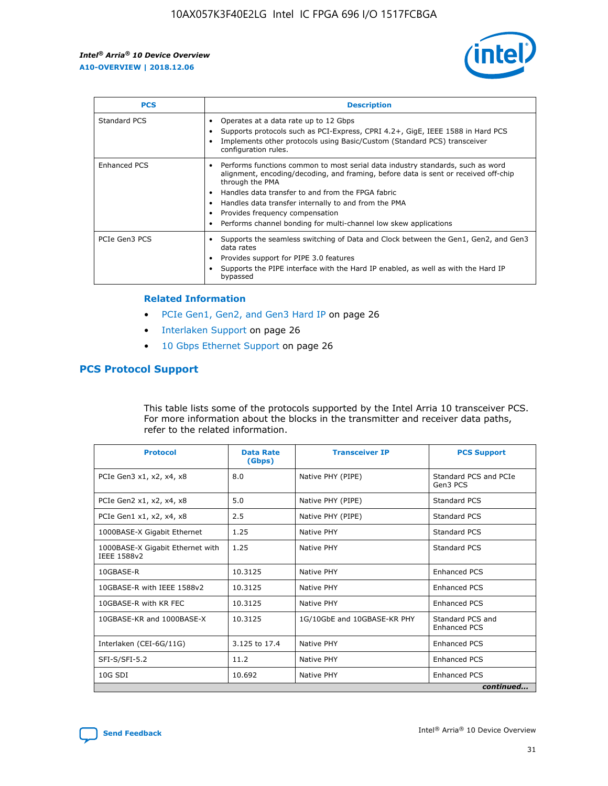

| <b>PCS</b>    | <b>Description</b>                                                                                                                                                                                                                                                                                                                                                                                             |
|---------------|----------------------------------------------------------------------------------------------------------------------------------------------------------------------------------------------------------------------------------------------------------------------------------------------------------------------------------------------------------------------------------------------------------------|
| Standard PCS  | Operates at a data rate up to 12 Gbps<br>Supports protocols such as PCI-Express, CPRI 4.2+, GigE, IEEE 1588 in Hard PCS<br>Implements other protocols using Basic/Custom (Standard PCS) transceiver<br>configuration rules.                                                                                                                                                                                    |
| Enhanced PCS  | Performs functions common to most serial data industry standards, such as word<br>alignment, encoding/decoding, and framing, before data is sent or received off-chip<br>through the PMA<br>• Handles data transfer to and from the FPGA fabric<br>Handles data transfer internally to and from the PMA<br>Provides frequency compensation<br>Performs channel bonding for multi-channel low skew applications |
| PCIe Gen3 PCS | Supports the seamless switching of Data and Clock between the Gen1, Gen2, and Gen3<br>data rates<br>Provides support for PIPE 3.0 features<br>Supports the PIPE interface with the Hard IP enabled, as well as with the Hard IP<br>bypassed                                                                                                                                                                    |

#### **Related Information**

- PCIe Gen1, Gen2, and Gen3 Hard IP on page 26
- Interlaken Support on page 26
- 10 Gbps Ethernet Support on page 26

## **PCS Protocol Support**

This table lists some of the protocols supported by the Intel Arria 10 transceiver PCS. For more information about the blocks in the transmitter and receiver data paths, refer to the related information.

| <b>Protocol</b>                                 | <b>Data Rate</b><br>(Gbps) | <b>Transceiver IP</b>       | <b>PCS Support</b>                      |
|-------------------------------------------------|----------------------------|-----------------------------|-----------------------------------------|
| PCIe Gen3 x1, x2, x4, x8                        | 8.0                        | Native PHY (PIPE)           | Standard PCS and PCIe<br>Gen3 PCS       |
| PCIe Gen2 x1, x2, x4, x8                        | 5.0                        | Native PHY (PIPE)           | <b>Standard PCS</b>                     |
| PCIe Gen1 x1, x2, x4, x8                        | 2.5                        | Native PHY (PIPE)           | Standard PCS                            |
| 1000BASE-X Gigabit Ethernet                     | 1.25                       | Native PHY                  | <b>Standard PCS</b>                     |
| 1000BASE-X Gigabit Ethernet with<br>IEEE 1588v2 | 1.25                       | Native PHY                  | Standard PCS                            |
| 10GBASE-R                                       | 10.3125                    | Native PHY                  | <b>Enhanced PCS</b>                     |
| 10GBASE-R with IEEE 1588v2                      | 10.3125                    | Native PHY                  | <b>Enhanced PCS</b>                     |
| 10GBASE-R with KR FEC                           | 10.3125                    | Native PHY                  | <b>Enhanced PCS</b>                     |
| 10GBASE-KR and 1000BASE-X                       | 10.3125                    | 1G/10GbE and 10GBASE-KR PHY | Standard PCS and<br><b>Enhanced PCS</b> |
| Interlaken (CEI-6G/11G)                         | 3.125 to 17.4              | Native PHY                  | <b>Enhanced PCS</b>                     |
| SFI-S/SFI-5.2                                   | 11.2                       | Native PHY                  | <b>Enhanced PCS</b>                     |
| $10G$ SDI                                       | 10.692                     | Native PHY                  | <b>Enhanced PCS</b>                     |
|                                                 |                            |                             | continued                               |

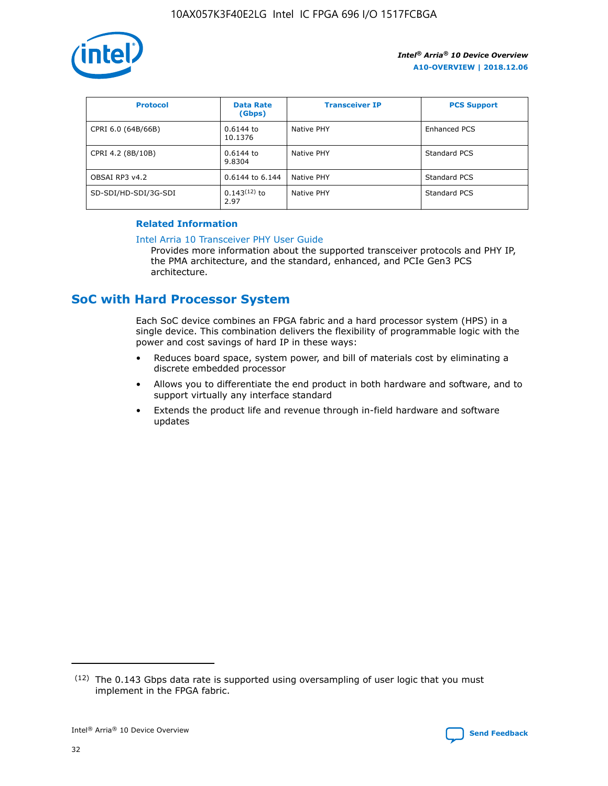

| <b>Protocol</b>      | <b>Data Rate</b><br>(Gbps) | <b>Transceiver IP</b> | <b>PCS Support</b> |
|----------------------|----------------------------|-----------------------|--------------------|
| CPRI 6.0 (64B/66B)   | 0.6144 to<br>10.1376       | Native PHY            | Enhanced PCS       |
| CPRI 4.2 (8B/10B)    | $0.6144$ to<br>9.8304      | Native PHY            | Standard PCS       |
| OBSAI RP3 v4.2       | 0.6144 to 6.144            | Native PHY            | Standard PCS       |
| SD-SDI/HD-SDI/3G-SDI | $0.143(12)$ to<br>2.97     | Native PHY            | Standard PCS       |

## **Related Information**

#### [Intel Arria 10 Transceiver PHY User Guide](https://www.intel.com/content/www/us/en/programmable/documentation/nik1398707230472.html#nik1398707091164)

Provides more information about the supported transceiver protocols and PHY IP, the PMA architecture, and the standard, enhanced, and PCIe Gen3 PCS architecture.

## **SoC with Hard Processor System**

Each SoC device combines an FPGA fabric and a hard processor system (HPS) in a single device. This combination delivers the flexibility of programmable logic with the power and cost savings of hard IP in these ways:

- Reduces board space, system power, and bill of materials cost by eliminating a discrete embedded processor
- Allows you to differentiate the end product in both hardware and software, and to support virtually any interface standard
- Extends the product life and revenue through in-field hardware and software updates

 $(12)$  The 0.143 Gbps data rate is supported using oversampling of user logic that you must implement in the FPGA fabric.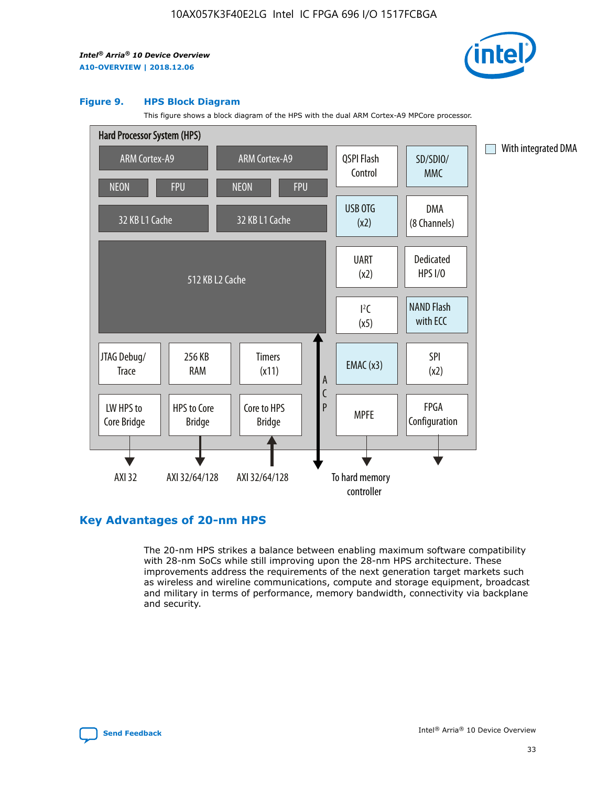

#### **Figure 9. HPS Block Diagram**

This figure shows a block diagram of the HPS with the dual ARM Cortex-A9 MPCore processor.



## **Key Advantages of 20-nm HPS**

The 20-nm HPS strikes a balance between enabling maximum software compatibility with 28-nm SoCs while still improving upon the 28-nm HPS architecture. These improvements address the requirements of the next generation target markets such as wireless and wireline communications, compute and storage equipment, broadcast and military in terms of performance, memory bandwidth, connectivity via backplane and security.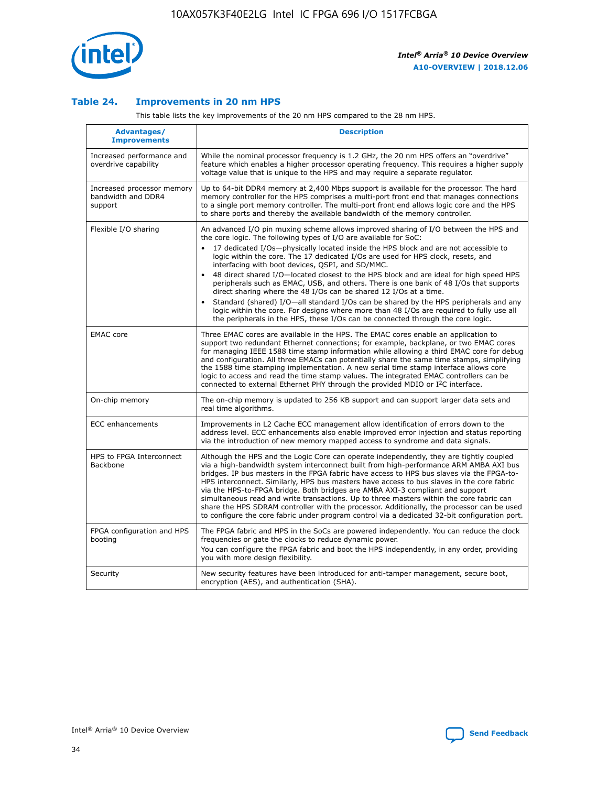

## **Table 24. Improvements in 20 nm HPS**

This table lists the key improvements of the 20 nm HPS compared to the 28 nm HPS.

| Advantages/<br><b>Improvements</b>                          | <b>Description</b>                                                                                                                                                                                                                                                                                                                                                                                                                                                                                                                                                                                                                                                                                                                                                                                                                                                                                                      |
|-------------------------------------------------------------|-------------------------------------------------------------------------------------------------------------------------------------------------------------------------------------------------------------------------------------------------------------------------------------------------------------------------------------------------------------------------------------------------------------------------------------------------------------------------------------------------------------------------------------------------------------------------------------------------------------------------------------------------------------------------------------------------------------------------------------------------------------------------------------------------------------------------------------------------------------------------------------------------------------------------|
| Increased performance and<br>overdrive capability           | While the nominal processor frequency is 1.2 GHz, the 20 nm HPS offers an "overdrive"<br>feature which enables a higher processor operating frequency. This requires a higher supply<br>voltage value that is unique to the HPS and may require a separate regulator.                                                                                                                                                                                                                                                                                                                                                                                                                                                                                                                                                                                                                                                   |
| Increased processor memory<br>bandwidth and DDR4<br>support | Up to 64-bit DDR4 memory at 2,400 Mbps support is available for the processor. The hard<br>memory controller for the HPS comprises a multi-port front end that manages connections<br>to a single port memory controller. The multi-port front end allows logic core and the HPS<br>to share ports and thereby the available bandwidth of the memory controller.                                                                                                                                                                                                                                                                                                                                                                                                                                                                                                                                                        |
| Flexible I/O sharing                                        | An advanced I/O pin muxing scheme allows improved sharing of I/O between the HPS and<br>the core logic. The following types of I/O are available for SoC:<br>17 dedicated I/Os-physically located inside the HPS block and are not accessible to<br>logic within the core. The 17 dedicated I/Os are used for HPS clock, resets, and<br>interfacing with boot devices, QSPI, and SD/MMC.<br>48 direct shared I/O-located closest to the HPS block and are ideal for high speed HPS<br>peripherals such as EMAC, USB, and others. There is one bank of 48 I/Os that supports<br>direct sharing where the 48 I/Os can be shared 12 I/Os at a time.<br>Standard (shared) I/O—all standard I/Os can be shared by the HPS peripherals and any<br>logic within the core. For designs where more than 48 I/Os are required to fully use all<br>the peripherals in the HPS, these I/Os can be connected through the core logic. |
| <b>EMAC</b> core                                            | Three EMAC cores are available in the HPS. The EMAC cores enable an application to<br>support two redundant Ethernet connections; for example, backplane, or two EMAC cores<br>for managing IEEE 1588 time stamp information while allowing a third EMAC core for debug<br>and configuration. All three EMACs can potentially share the same time stamps, simplifying<br>the 1588 time stamping implementation. A new serial time stamp interface allows core<br>logic to access and read the time stamp values. The integrated EMAC controllers can be<br>connected to external Ethernet PHY through the provided MDIO or I <sup>2</sup> C interface.                                                                                                                                                                                                                                                                  |
| On-chip memory                                              | The on-chip memory is updated to 256 KB support and can support larger data sets and<br>real time algorithms.                                                                                                                                                                                                                                                                                                                                                                                                                                                                                                                                                                                                                                                                                                                                                                                                           |
| ECC enhancements                                            | Improvements in L2 Cache ECC management allow identification of errors down to the<br>address level. ECC enhancements also enable improved error injection and status reporting<br>via the introduction of new memory mapped access to syndrome and data signals.                                                                                                                                                                                                                                                                                                                                                                                                                                                                                                                                                                                                                                                       |
| HPS to FPGA Interconnect<br>Backbone                        | Although the HPS and the Logic Core can operate independently, they are tightly coupled<br>via a high-bandwidth system interconnect built from high-performance ARM AMBA AXI bus<br>bridges. IP bus masters in the FPGA fabric have access to HPS bus slaves via the FPGA-to-<br>HPS interconnect. Similarly, HPS bus masters have access to bus slaves in the core fabric<br>via the HPS-to-FPGA bridge. Both bridges are AMBA AXI-3 compliant and support<br>simultaneous read and write transactions. Up to three masters within the core fabric can<br>share the HPS SDRAM controller with the processor. Additionally, the processor can be used<br>to configure the core fabric under program control via a dedicated 32-bit configuration port.                                                                                                                                                                  |
| FPGA configuration and HPS<br>booting                       | The FPGA fabric and HPS in the SoCs are powered independently. You can reduce the clock<br>frequencies or gate the clocks to reduce dynamic power.<br>You can configure the FPGA fabric and boot the HPS independently, in any order, providing<br>you with more design flexibility.                                                                                                                                                                                                                                                                                                                                                                                                                                                                                                                                                                                                                                    |
| Security                                                    | New security features have been introduced for anti-tamper management, secure boot,<br>encryption (AES), and authentication (SHA).                                                                                                                                                                                                                                                                                                                                                                                                                                                                                                                                                                                                                                                                                                                                                                                      |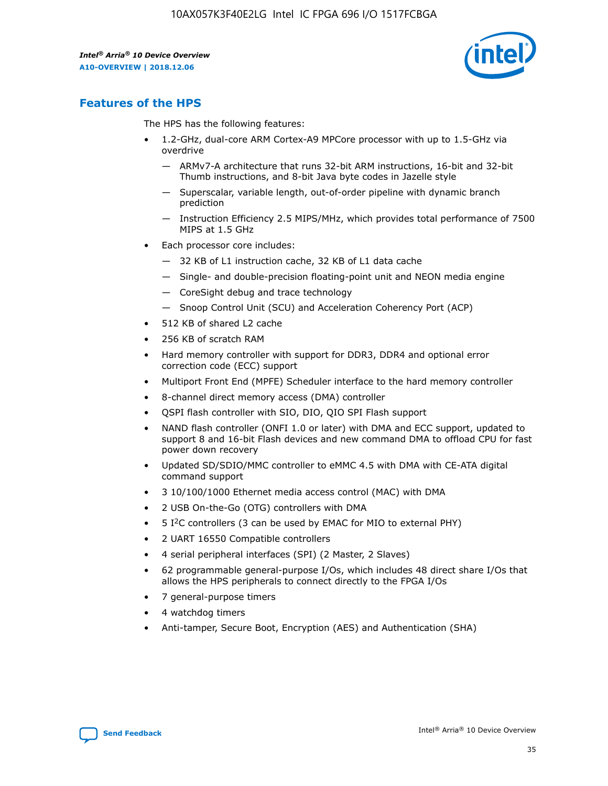

## **Features of the HPS**

The HPS has the following features:

- 1.2-GHz, dual-core ARM Cortex-A9 MPCore processor with up to 1.5-GHz via overdrive
	- ARMv7-A architecture that runs 32-bit ARM instructions, 16-bit and 32-bit Thumb instructions, and 8-bit Java byte codes in Jazelle style
	- Superscalar, variable length, out-of-order pipeline with dynamic branch prediction
	- Instruction Efficiency 2.5 MIPS/MHz, which provides total performance of 7500 MIPS at 1.5 GHz
- Each processor core includes:
	- 32 KB of L1 instruction cache, 32 KB of L1 data cache
	- Single- and double-precision floating-point unit and NEON media engine
	- CoreSight debug and trace technology
	- Snoop Control Unit (SCU) and Acceleration Coherency Port (ACP)
- 512 KB of shared L2 cache
- 256 KB of scratch RAM
- Hard memory controller with support for DDR3, DDR4 and optional error correction code (ECC) support
- Multiport Front End (MPFE) Scheduler interface to the hard memory controller
- 8-channel direct memory access (DMA) controller
- QSPI flash controller with SIO, DIO, QIO SPI Flash support
- NAND flash controller (ONFI 1.0 or later) with DMA and ECC support, updated to support 8 and 16-bit Flash devices and new command DMA to offload CPU for fast power down recovery
- Updated SD/SDIO/MMC controller to eMMC 4.5 with DMA with CE-ATA digital command support
- 3 10/100/1000 Ethernet media access control (MAC) with DMA
- 2 USB On-the-Go (OTG) controllers with DMA
- $\bullet$  5 I<sup>2</sup>C controllers (3 can be used by EMAC for MIO to external PHY)
- 2 UART 16550 Compatible controllers
- 4 serial peripheral interfaces (SPI) (2 Master, 2 Slaves)
- 62 programmable general-purpose I/Os, which includes 48 direct share I/Os that allows the HPS peripherals to connect directly to the FPGA I/Os
- 7 general-purpose timers
- 4 watchdog timers
- Anti-tamper, Secure Boot, Encryption (AES) and Authentication (SHA)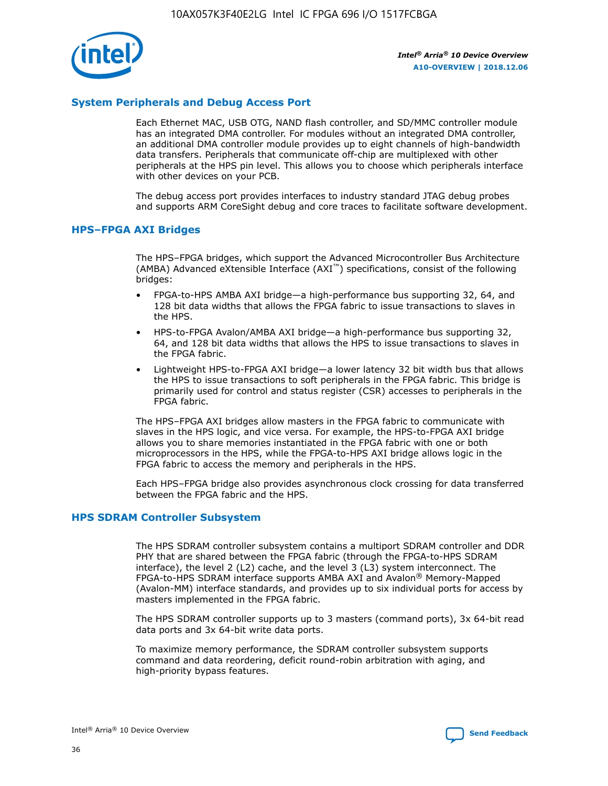

## **System Peripherals and Debug Access Port**

Each Ethernet MAC, USB OTG, NAND flash controller, and SD/MMC controller module has an integrated DMA controller. For modules without an integrated DMA controller, an additional DMA controller module provides up to eight channels of high-bandwidth data transfers. Peripherals that communicate off-chip are multiplexed with other peripherals at the HPS pin level. This allows you to choose which peripherals interface with other devices on your PCB.

The debug access port provides interfaces to industry standard JTAG debug probes and supports ARM CoreSight debug and core traces to facilitate software development.

#### **HPS–FPGA AXI Bridges**

The HPS–FPGA bridges, which support the Advanced Microcontroller Bus Architecture (AMBA) Advanced eXtensible Interface (AXI™) specifications, consist of the following bridges:

- FPGA-to-HPS AMBA AXI bridge—a high-performance bus supporting 32, 64, and 128 bit data widths that allows the FPGA fabric to issue transactions to slaves in the HPS.
- HPS-to-FPGA Avalon/AMBA AXI bridge—a high-performance bus supporting 32, 64, and 128 bit data widths that allows the HPS to issue transactions to slaves in the FPGA fabric.
- Lightweight HPS-to-FPGA AXI bridge—a lower latency 32 bit width bus that allows the HPS to issue transactions to soft peripherals in the FPGA fabric. This bridge is primarily used for control and status register (CSR) accesses to peripherals in the FPGA fabric.

The HPS–FPGA AXI bridges allow masters in the FPGA fabric to communicate with slaves in the HPS logic, and vice versa. For example, the HPS-to-FPGA AXI bridge allows you to share memories instantiated in the FPGA fabric with one or both microprocessors in the HPS, while the FPGA-to-HPS AXI bridge allows logic in the FPGA fabric to access the memory and peripherals in the HPS.

Each HPS–FPGA bridge also provides asynchronous clock crossing for data transferred between the FPGA fabric and the HPS.

#### **HPS SDRAM Controller Subsystem**

The HPS SDRAM controller subsystem contains a multiport SDRAM controller and DDR PHY that are shared between the FPGA fabric (through the FPGA-to-HPS SDRAM interface), the level 2 (L2) cache, and the level 3 (L3) system interconnect. The FPGA-to-HPS SDRAM interface supports AMBA AXI and Avalon® Memory-Mapped (Avalon-MM) interface standards, and provides up to six individual ports for access by masters implemented in the FPGA fabric.

The HPS SDRAM controller supports up to 3 masters (command ports), 3x 64-bit read data ports and 3x 64-bit write data ports.

To maximize memory performance, the SDRAM controller subsystem supports command and data reordering, deficit round-robin arbitration with aging, and high-priority bypass features.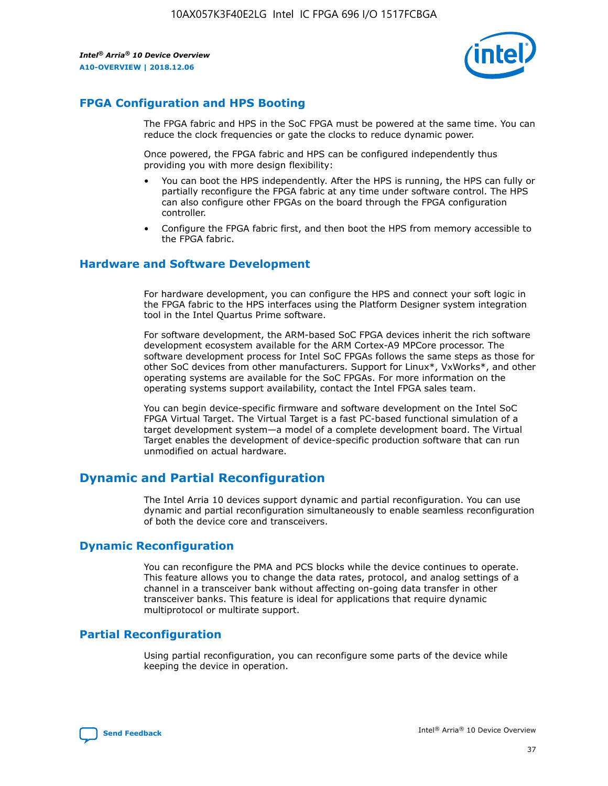

## **FPGA Configuration and HPS Booting**

The FPGA fabric and HPS in the SoC FPGA must be powered at the same time. You can reduce the clock frequencies or gate the clocks to reduce dynamic power.

Once powered, the FPGA fabric and HPS can be configured independently thus providing you with more design flexibility:

- You can boot the HPS independently. After the HPS is running, the HPS can fully or partially reconfigure the FPGA fabric at any time under software control. The HPS can also configure other FPGAs on the board through the FPGA configuration controller.
- Configure the FPGA fabric first, and then boot the HPS from memory accessible to the FPGA fabric.

## **Hardware and Software Development**

For hardware development, you can configure the HPS and connect your soft logic in the FPGA fabric to the HPS interfaces using the Platform Designer system integration tool in the Intel Quartus Prime software.

For software development, the ARM-based SoC FPGA devices inherit the rich software development ecosystem available for the ARM Cortex-A9 MPCore processor. The software development process for Intel SoC FPGAs follows the same steps as those for other SoC devices from other manufacturers. Support for Linux\*, VxWorks\*, and other operating systems are available for the SoC FPGAs. For more information on the operating systems support availability, contact the Intel FPGA sales team.

You can begin device-specific firmware and software development on the Intel SoC FPGA Virtual Target. The Virtual Target is a fast PC-based functional simulation of a target development system—a model of a complete development board. The Virtual Target enables the development of device-specific production software that can run unmodified on actual hardware.

## **Dynamic and Partial Reconfiguration**

The Intel Arria 10 devices support dynamic and partial reconfiguration. You can use dynamic and partial reconfiguration simultaneously to enable seamless reconfiguration of both the device core and transceivers.

## **Dynamic Reconfiguration**

You can reconfigure the PMA and PCS blocks while the device continues to operate. This feature allows you to change the data rates, protocol, and analog settings of a channel in a transceiver bank without affecting on-going data transfer in other transceiver banks. This feature is ideal for applications that require dynamic multiprotocol or multirate support.

## **Partial Reconfiguration**

Using partial reconfiguration, you can reconfigure some parts of the device while keeping the device in operation.

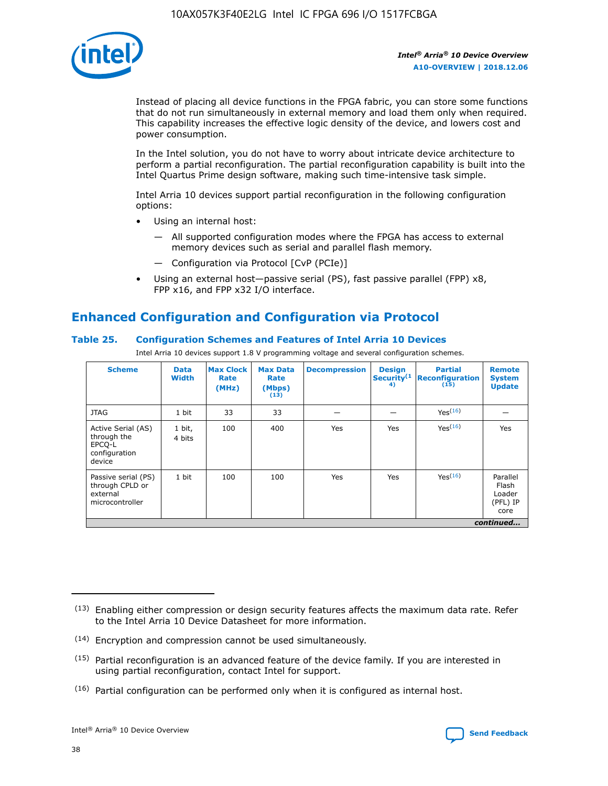

Instead of placing all device functions in the FPGA fabric, you can store some functions that do not run simultaneously in external memory and load them only when required. This capability increases the effective logic density of the device, and lowers cost and power consumption.

In the Intel solution, you do not have to worry about intricate device architecture to perform a partial reconfiguration. The partial reconfiguration capability is built into the Intel Quartus Prime design software, making such time-intensive task simple.

Intel Arria 10 devices support partial reconfiguration in the following configuration options:

- Using an internal host:
	- All supported configuration modes where the FPGA has access to external memory devices such as serial and parallel flash memory.
	- Configuration via Protocol [CvP (PCIe)]
- Using an external host—passive serial (PS), fast passive parallel (FPP) x8, FPP x16, and FPP x32 I/O interface.

# **Enhanced Configuration and Configuration via Protocol**

## **Table 25. Configuration Schemes and Features of Intel Arria 10 Devices**

Intel Arria 10 devices support 1.8 V programming voltage and several configuration schemes.

| <b>Scheme</b>                                                          | <b>Data</b><br><b>Width</b> | <b>Max Clock</b><br>Rate<br>(MHz) | <b>Max Data</b><br>Rate<br>(Mbps)<br>(13) | <b>Decompression</b> | <b>Design</b><br>Security <sup>(1</sup><br>4) | <b>Partial</b><br><b>Reconfiguration</b><br>(15) | <b>Remote</b><br><b>System</b><br><b>Update</b> |
|------------------------------------------------------------------------|-----------------------------|-----------------------------------|-------------------------------------------|----------------------|-----------------------------------------------|--------------------------------------------------|-------------------------------------------------|
| <b>JTAG</b>                                                            | 1 bit                       | 33                                | 33                                        |                      |                                               | Yes <sup>(16)</sup>                              |                                                 |
| Active Serial (AS)<br>through the<br>EPCO-L<br>configuration<br>device | 1 bit,<br>4 bits            | 100                               | 400                                       | Yes                  | Yes                                           | $Y_{PS}(16)$                                     | Yes                                             |
| Passive serial (PS)<br>through CPLD or<br>external<br>microcontroller  | 1 bit                       | 100                               | 100                                       | Yes                  | Yes                                           | Yes(16)                                          | Parallel<br>Flash<br>Loader<br>(PFL) IP<br>core |
|                                                                        |                             |                                   |                                           |                      |                                               |                                                  | continued                                       |

<sup>(13)</sup> Enabling either compression or design security features affects the maximum data rate. Refer to the Intel Arria 10 Device Datasheet for more information.

<sup>(14)</sup> Encryption and compression cannot be used simultaneously.

 $(15)$  Partial reconfiguration is an advanced feature of the device family. If you are interested in using partial reconfiguration, contact Intel for support.

 $(16)$  Partial configuration can be performed only when it is configured as internal host.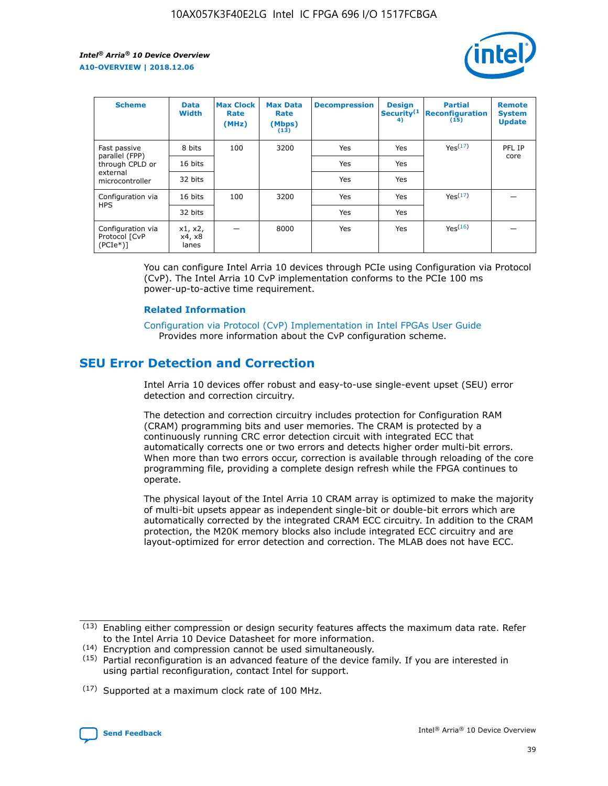

| <b>Scheme</b>                                   | <b>Data</b><br><b>Width</b> | <b>Max Clock</b><br>Rate<br>(MHz) | <b>Max Data</b><br>Rate<br>(Mbps)<br>(13) | <b>Decompression</b> | <b>Design</b><br>Security <sup>(1</sup><br>4) | <b>Partial</b><br><b>Reconfiguration</b><br>(15) | <b>Remote</b><br><b>System</b><br><b>Update</b> |
|-------------------------------------------------|-----------------------------|-----------------------------------|-------------------------------------------|----------------------|-----------------------------------------------|--------------------------------------------------|-------------------------------------------------|
| Fast passive                                    | 8 bits                      | 100                               | 3200                                      | Yes                  | Yes                                           | Yes(17)                                          | PFL IP                                          |
| parallel (FPP)<br>through CPLD or               | 16 bits                     |                                   |                                           | Yes                  | Yes                                           |                                                  | core                                            |
| external<br>microcontroller                     | 32 bits                     |                                   |                                           | Yes                  | Yes                                           |                                                  |                                                 |
| Configuration via                               | 16 bits                     | 100                               | 3200                                      | Yes                  | Yes                                           | Yes <sup>(17)</sup>                              |                                                 |
| <b>HPS</b>                                      | 32 bits                     |                                   |                                           | Yes                  | Yes                                           |                                                  |                                                 |
| Configuration via<br>Protocol [CvP<br>$(PCIe*)$ | x1, x2,<br>x4, x8<br>lanes  |                                   | 8000                                      | Yes                  | Yes                                           | Yes <sup>(16)</sup>                              |                                                 |

You can configure Intel Arria 10 devices through PCIe using Configuration via Protocol (CvP). The Intel Arria 10 CvP implementation conforms to the PCIe 100 ms power-up-to-active time requirement.

#### **Related Information**

[Configuration via Protocol \(CvP\) Implementation in Intel FPGAs User Guide](https://www.intel.com/content/www/us/en/programmable/documentation/dsu1441819344145.html#dsu1442269728522) Provides more information about the CvP configuration scheme.

## **SEU Error Detection and Correction**

Intel Arria 10 devices offer robust and easy-to-use single-event upset (SEU) error detection and correction circuitry.

The detection and correction circuitry includes protection for Configuration RAM (CRAM) programming bits and user memories. The CRAM is protected by a continuously running CRC error detection circuit with integrated ECC that automatically corrects one or two errors and detects higher order multi-bit errors. When more than two errors occur, correction is available through reloading of the core programming file, providing a complete design refresh while the FPGA continues to operate.

The physical layout of the Intel Arria 10 CRAM array is optimized to make the majority of multi-bit upsets appear as independent single-bit or double-bit errors which are automatically corrected by the integrated CRAM ECC circuitry. In addition to the CRAM protection, the M20K memory blocks also include integrated ECC circuitry and are layout-optimized for error detection and correction. The MLAB does not have ECC.

(14) Encryption and compression cannot be used simultaneously.

<sup>(17)</sup> Supported at a maximum clock rate of 100 MHz.



 $(13)$  Enabling either compression or design security features affects the maximum data rate. Refer to the Intel Arria 10 Device Datasheet for more information.

 $(15)$  Partial reconfiguration is an advanced feature of the device family. If you are interested in using partial reconfiguration, contact Intel for support.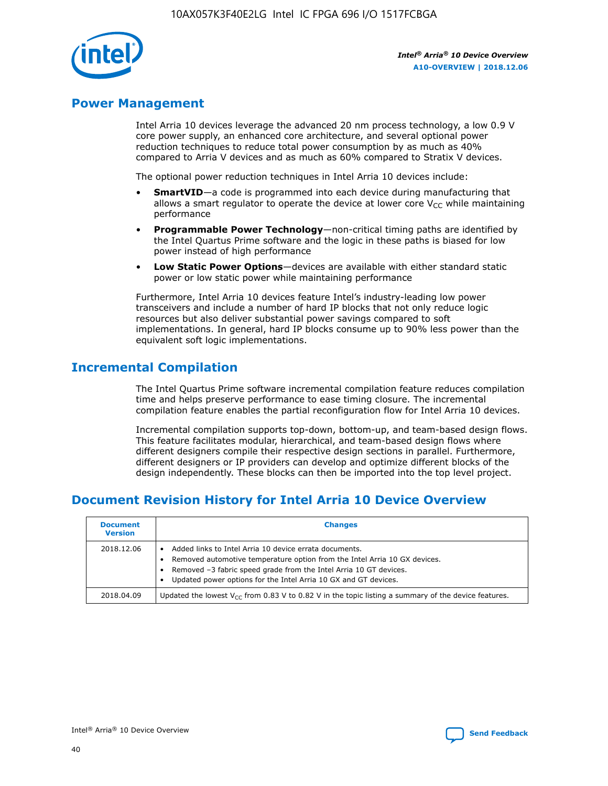

## **Power Management**

Intel Arria 10 devices leverage the advanced 20 nm process technology, a low 0.9 V core power supply, an enhanced core architecture, and several optional power reduction techniques to reduce total power consumption by as much as 40% compared to Arria V devices and as much as 60% compared to Stratix V devices.

The optional power reduction techniques in Intel Arria 10 devices include:

- **SmartVID**—a code is programmed into each device during manufacturing that allows a smart regulator to operate the device at lower core  $V_{CC}$  while maintaining performance
- **Programmable Power Technology**—non-critical timing paths are identified by the Intel Quartus Prime software and the logic in these paths is biased for low power instead of high performance
- **Low Static Power Options**—devices are available with either standard static power or low static power while maintaining performance

Furthermore, Intel Arria 10 devices feature Intel's industry-leading low power transceivers and include a number of hard IP blocks that not only reduce logic resources but also deliver substantial power savings compared to soft implementations. In general, hard IP blocks consume up to 90% less power than the equivalent soft logic implementations.

## **Incremental Compilation**

The Intel Quartus Prime software incremental compilation feature reduces compilation time and helps preserve performance to ease timing closure. The incremental compilation feature enables the partial reconfiguration flow for Intel Arria 10 devices.

Incremental compilation supports top-down, bottom-up, and team-based design flows. This feature facilitates modular, hierarchical, and team-based design flows where different designers compile their respective design sections in parallel. Furthermore, different designers or IP providers can develop and optimize different blocks of the design independently. These blocks can then be imported into the top level project.

# **Document Revision History for Intel Arria 10 Device Overview**

| <b>Document</b><br><b>Version</b> | <b>Changes</b>                                                                                                                                                                                                                                                              |
|-----------------------------------|-----------------------------------------------------------------------------------------------------------------------------------------------------------------------------------------------------------------------------------------------------------------------------|
| 2018.12.06                        | Added links to Intel Arria 10 device errata documents.<br>Removed automotive temperature option from the Intel Arria 10 GX devices.<br>Removed -3 fabric speed grade from the Intel Arria 10 GT devices.<br>Updated power options for the Intel Arria 10 GX and GT devices. |
| 2018.04.09                        | Updated the lowest $V_{CC}$ from 0.83 V to 0.82 V in the topic listing a summary of the device features.                                                                                                                                                                    |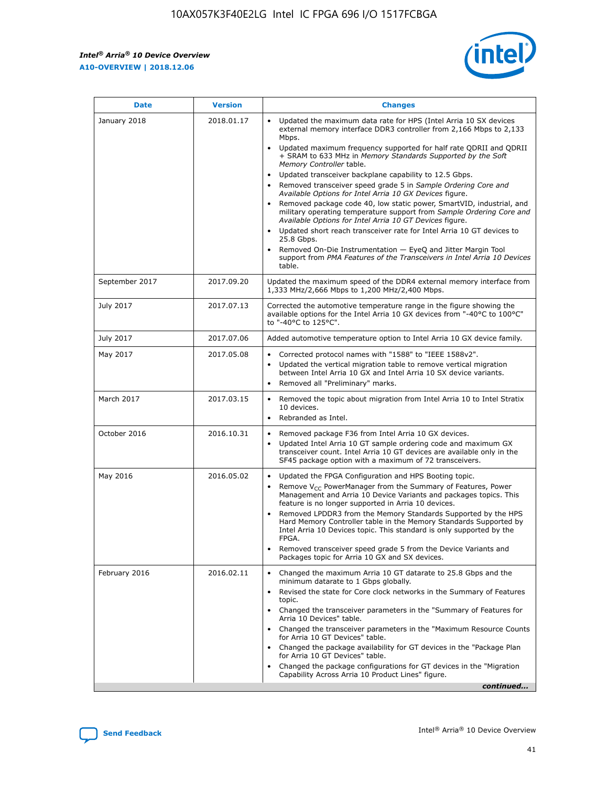*Intel® Arria® 10 Device Overview* **A10-OVERVIEW | 2018.12.06**



| <b>Date</b>    | <b>Version</b> | <b>Changes</b>                                                                                                                                                                                                                                                                                                                                                                                                                                                                                                                                                                                                                                                                                                                                                                                                                                                                                                                                                            |
|----------------|----------------|---------------------------------------------------------------------------------------------------------------------------------------------------------------------------------------------------------------------------------------------------------------------------------------------------------------------------------------------------------------------------------------------------------------------------------------------------------------------------------------------------------------------------------------------------------------------------------------------------------------------------------------------------------------------------------------------------------------------------------------------------------------------------------------------------------------------------------------------------------------------------------------------------------------------------------------------------------------------------|
| January 2018   | 2018.01.17     | Updated the maximum data rate for HPS (Intel Arria 10 SX devices<br>external memory interface DDR3 controller from 2,166 Mbps to 2,133<br>Mbps.<br>Updated maximum frequency supported for half rate QDRII and QDRII<br>+ SRAM to 633 MHz in Memory Standards Supported by the Soft<br>Memory Controller table.<br>Updated transceiver backplane capability to 12.5 Gbps.<br>$\bullet$<br>Removed transceiver speed grade 5 in Sample Ordering Core and<br>Available Options for Intel Arria 10 GX Devices figure.<br>Removed package code 40, low static power, SmartVID, industrial, and<br>military operating temperature support from Sample Ordering Core and<br>Available Options for Intel Arria 10 GT Devices figure.<br>Updated short reach transceiver rate for Intel Arria 10 GT devices to<br>25.8 Gbps.<br>Removed On-Die Instrumentation - EyeQ and Jitter Margin Tool<br>support from PMA Features of the Transceivers in Intel Arria 10 Devices<br>table. |
| September 2017 | 2017.09.20     | Updated the maximum speed of the DDR4 external memory interface from<br>1,333 MHz/2,666 Mbps to 1,200 MHz/2,400 Mbps.                                                                                                                                                                                                                                                                                                                                                                                                                                                                                                                                                                                                                                                                                                                                                                                                                                                     |
| July 2017      | 2017.07.13     | Corrected the automotive temperature range in the figure showing the<br>available options for the Intel Arria 10 GX devices from "-40°C to 100°C"<br>to "-40°C to 125°C".                                                                                                                                                                                                                                                                                                                                                                                                                                                                                                                                                                                                                                                                                                                                                                                                 |
| July 2017      | 2017.07.06     | Added automotive temperature option to Intel Arria 10 GX device family.                                                                                                                                                                                                                                                                                                                                                                                                                                                                                                                                                                                                                                                                                                                                                                                                                                                                                                   |
| May 2017       | 2017.05.08     | Corrected protocol names with "1588" to "IEEE 1588v2".<br>Updated the vertical migration table to remove vertical migration<br>between Intel Arria 10 GX and Intel Arria 10 SX device variants.<br>Removed all "Preliminary" marks.                                                                                                                                                                                                                                                                                                                                                                                                                                                                                                                                                                                                                                                                                                                                       |
| March 2017     | 2017.03.15     | Removed the topic about migration from Intel Arria 10 to Intel Stratix<br>10 devices.<br>Rebranded as Intel.<br>$\bullet$                                                                                                                                                                                                                                                                                                                                                                                                                                                                                                                                                                                                                                                                                                                                                                                                                                                 |
| October 2016   | 2016.10.31     | Removed package F36 from Intel Arria 10 GX devices.<br>Updated Intel Arria 10 GT sample ordering code and maximum GX<br>$\bullet$<br>transceiver count. Intel Arria 10 GT devices are available only in the<br>SF45 package option with a maximum of 72 transceivers.                                                                                                                                                                                                                                                                                                                                                                                                                                                                                                                                                                                                                                                                                                     |
| May 2016       | 2016.05.02     | Updated the FPGA Configuration and HPS Booting topic.<br>Remove V <sub>CC</sub> PowerManager from the Summary of Features, Power<br>Management and Arria 10 Device Variants and packages topics. This<br>feature is no longer supported in Arria 10 devices.<br>Removed LPDDR3 from the Memory Standards Supported by the HPS<br>Hard Memory Controller table in the Memory Standards Supported by<br>Intel Arria 10 Devices topic. This standard is only supported by the<br>FPGA.<br>Removed transceiver speed grade 5 from the Device Variants and<br>Packages topic for Arria 10 GX and SX devices.                                                                                                                                                                                                                                                                                                                                                                   |
| February 2016  | 2016.02.11     | Changed the maximum Arria 10 GT datarate to 25.8 Gbps and the<br>minimum datarate to 1 Gbps globally.<br>Revised the state for Core clock networks in the Summary of Features<br>$\bullet$<br>topic.<br>Changed the transceiver parameters in the "Summary of Features for<br>Arria 10 Devices" table.<br>• Changed the transceiver parameters in the "Maximum Resource Counts<br>for Arria 10 GT Devices" table.<br>• Changed the package availability for GT devices in the "Package Plan<br>for Arria 10 GT Devices" table.<br>Changed the package configurations for GT devices in the "Migration"<br>Capability Across Arria 10 Product Lines" figure.<br>continued                                                                                                                                                                                                                                                                                                  |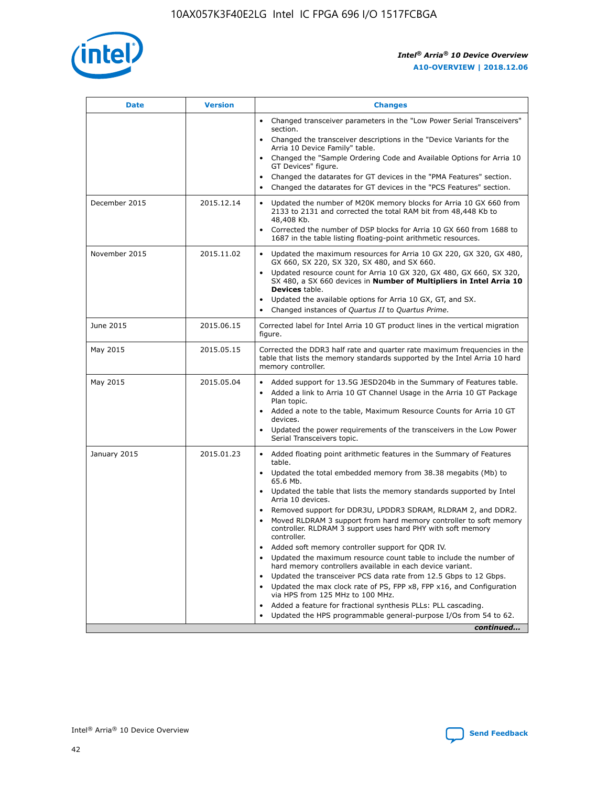

| <b>Date</b>   | <b>Version</b> | <b>Changes</b>                                                                                                                                                               |
|---------------|----------------|------------------------------------------------------------------------------------------------------------------------------------------------------------------------------|
|               |                | • Changed transceiver parameters in the "Low Power Serial Transceivers"<br>section.                                                                                          |
|               |                | • Changed the transceiver descriptions in the "Device Variants for the<br>Arria 10 Device Family" table.                                                                     |
|               |                | Changed the "Sample Ordering Code and Available Options for Arria 10<br>$\bullet$<br>GT Devices" figure.                                                                     |
|               |                | Changed the datarates for GT devices in the "PMA Features" section.                                                                                                          |
|               |                | Changed the datarates for GT devices in the "PCS Features" section.<br>$\bullet$                                                                                             |
| December 2015 | 2015.12.14     | Updated the number of M20K memory blocks for Arria 10 GX 660 from<br>2133 to 2131 and corrected the total RAM bit from 48,448 Kb to<br>48,408 Kb.                            |
|               |                | Corrected the number of DSP blocks for Arria 10 GX 660 from 1688 to<br>1687 in the table listing floating-point arithmetic resources.                                        |
| November 2015 | 2015.11.02     | Updated the maximum resources for Arria 10 GX 220, GX 320, GX 480,<br>$\bullet$<br>GX 660, SX 220, SX 320, SX 480, and SX 660.                                               |
|               |                | • Updated resource count for Arria 10 GX 320, GX 480, GX 660, SX 320,<br>SX 480, a SX 660 devices in Number of Multipliers in Intel Arria 10<br><b>Devices</b> table.        |
|               |                | Updated the available options for Arria 10 GX, GT, and SX.                                                                                                                   |
|               |                | Changed instances of Quartus II to Quartus Prime.<br>$\bullet$                                                                                                               |
| June 2015     | 2015.06.15     | Corrected label for Intel Arria 10 GT product lines in the vertical migration<br>figure.                                                                                     |
| May 2015      | 2015.05.15     | Corrected the DDR3 half rate and quarter rate maximum frequencies in the<br>table that lists the memory standards supported by the Intel Arria 10 hard<br>memory controller. |
| May 2015      | 2015.05.04     | • Added support for 13.5G JESD204b in the Summary of Features table.<br>• Added a link to Arria 10 GT Channel Usage in the Arria 10 GT Package<br>Plan topic.                |
|               |                | • Added a note to the table, Maximum Resource Counts for Arria 10 GT<br>devices.                                                                                             |
|               |                | • Updated the power requirements of the transceivers in the Low Power<br>Serial Transceivers topic.                                                                          |
| January 2015  | 2015.01.23     | • Added floating point arithmetic features in the Summary of Features<br>table.                                                                                              |
|               |                | • Updated the total embedded memory from 38.38 megabits (Mb) to<br>65.6 Mb.                                                                                                  |
|               |                | • Updated the table that lists the memory standards supported by Intel<br>Arria 10 devices.                                                                                  |
|               |                | Removed support for DDR3U, LPDDR3 SDRAM, RLDRAM 2, and DDR2.                                                                                                                 |
|               |                | Moved RLDRAM 3 support from hard memory controller to soft memory<br>controller. RLDRAM 3 support uses hard PHY with soft memory<br>controller.                              |
|               |                | Added soft memory controller support for QDR IV.<br>٠                                                                                                                        |
|               |                | Updated the maximum resource count table to include the number of<br>hard memory controllers available in each device variant.                                               |
|               |                | Updated the transceiver PCS data rate from 12.5 Gbps to 12 Gbps.<br>$\bullet$                                                                                                |
|               |                | Updated the max clock rate of PS, FPP x8, FPP x16, and Configuration<br>via HPS from 125 MHz to 100 MHz.                                                                     |
|               |                | Added a feature for fractional synthesis PLLs: PLL cascading.                                                                                                                |
|               |                | Updated the HPS programmable general-purpose I/Os from 54 to 62.<br>$\bullet$<br>continued                                                                                   |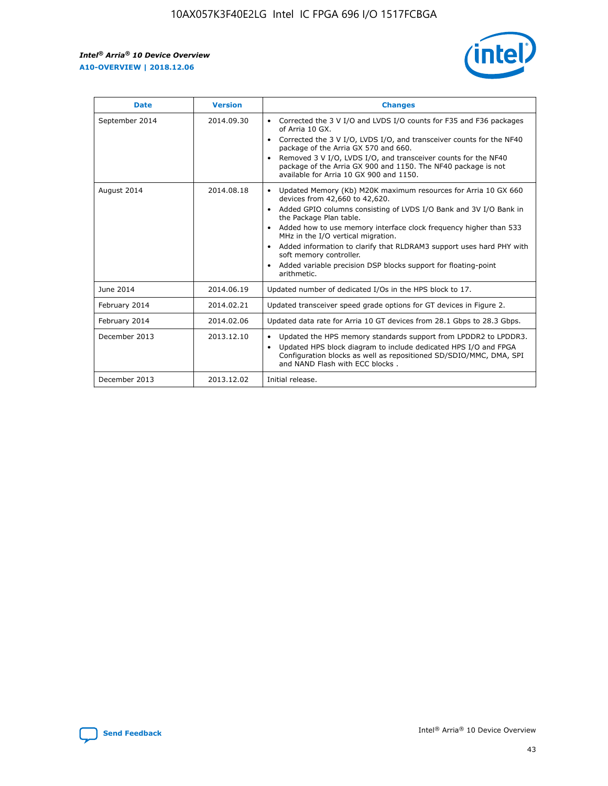r



| <b>Date</b>    | <b>Version</b> | <b>Changes</b>                                                                                                                                                                                                                                                                                                                                                                                                                                                                                                                                      |
|----------------|----------------|-----------------------------------------------------------------------------------------------------------------------------------------------------------------------------------------------------------------------------------------------------------------------------------------------------------------------------------------------------------------------------------------------------------------------------------------------------------------------------------------------------------------------------------------------------|
| September 2014 | 2014.09.30     | Corrected the 3 V I/O and LVDS I/O counts for F35 and F36 packages<br>$\bullet$<br>of Arria 10 GX.<br>Corrected the 3 V I/O, LVDS I/O, and transceiver counts for the NF40<br>$\bullet$<br>package of the Arria GX 570 and 660.<br>Removed 3 V I/O, LVDS I/O, and transceiver counts for the NF40<br>$\bullet$<br>package of the Arria GX 900 and 1150. The NF40 package is not<br>available for Arria 10 GX 900 and 1150.                                                                                                                          |
| August 2014    | 2014.08.18     | Updated Memory (Kb) M20K maximum resources for Arria 10 GX 660<br>devices from 42,660 to 42,620.<br>Added GPIO columns consisting of LVDS I/O Bank and 3V I/O Bank in<br>$\bullet$<br>the Package Plan table.<br>Added how to use memory interface clock frequency higher than 533<br>$\bullet$<br>MHz in the I/O vertical migration.<br>Added information to clarify that RLDRAM3 support uses hard PHY with<br>$\bullet$<br>soft memory controller.<br>Added variable precision DSP blocks support for floating-point<br>$\bullet$<br>arithmetic. |
| June 2014      | 2014.06.19     | Updated number of dedicated I/Os in the HPS block to 17.                                                                                                                                                                                                                                                                                                                                                                                                                                                                                            |
| February 2014  | 2014.02.21     | Updated transceiver speed grade options for GT devices in Figure 2.                                                                                                                                                                                                                                                                                                                                                                                                                                                                                 |
| February 2014  | 2014.02.06     | Updated data rate for Arria 10 GT devices from 28.1 Gbps to 28.3 Gbps.                                                                                                                                                                                                                                                                                                                                                                                                                                                                              |
| December 2013  | 2013.12.10     | Updated the HPS memory standards support from LPDDR2 to LPDDR3.<br>Updated HPS block diagram to include dedicated HPS I/O and FPGA<br>$\bullet$<br>Configuration blocks as well as repositioned SD/SDIO/MMC, DMA, SPI<br>and NAND Flash with ECC blocks.                                                                                                                                                                                                                                                                                            |
| December 2013  | 2013.12.02     | Initial release.                                                                                                                                                                                                                                                                                                                                                                                                                                                                                                                                    |